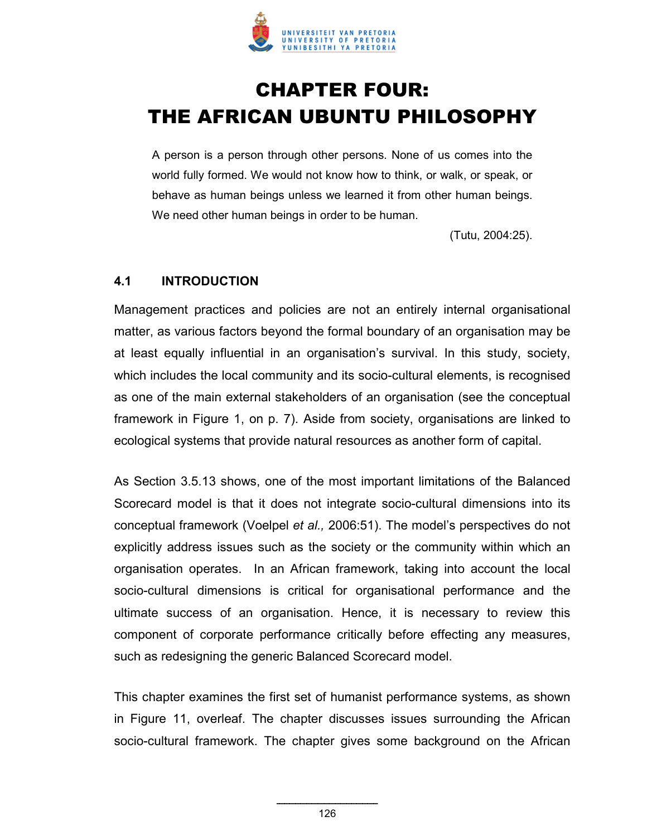

# **CHAPTER FOUR:** THE AFRICAN UBUNTU PHILOSOPHY

A person is a person through other persons. None of us comes into the world fully formed. We would not know how to think, or walk, or speak, or behave as human beings unless we learned it from other human beings. We need other human beings in order to be human.

(Tutu, 2004:25).

#### **4.1 INTRODUCTION**

Management practices and policies are not an entirely internal organisational matter, as various factors beyond the formal boundary of an organisation may be at least equally influential in an organisation's survival. In this study, society, which includes the local community and its socio-cultural elements, is recognised as one of the main external stakeholders of an organisation (see the conceptual framework in Figure 1, on p. 7). Aside from society, organisations are linked to ecological systems that provide natural resources as another form of capital.

As Section 3.5.13 shows, one of the most important limitations of the Balanced Scorecard model is that it does not integrate socio-cultural dimensions into its conceptual framework (Voelpel *et al.,* 2006:51). The model's perspectives do not explicitly address issues such as the society or the community within which an organisation operates. In an African framework, taking into account the local socio-cultural dimensions is critical for organisational performance and the ultimate success of an organisation. Hence, it is necessary to review this component of corporate performance critically before effecting any measures, such as redesigning the generic Balanced Scorecard model.

This chapter examines the first set of humanist performance systems, as shown in Figure 11, overleaf. The chapter discusses issues surrounding the African socio-cultural framework. The chapter gives some background on the African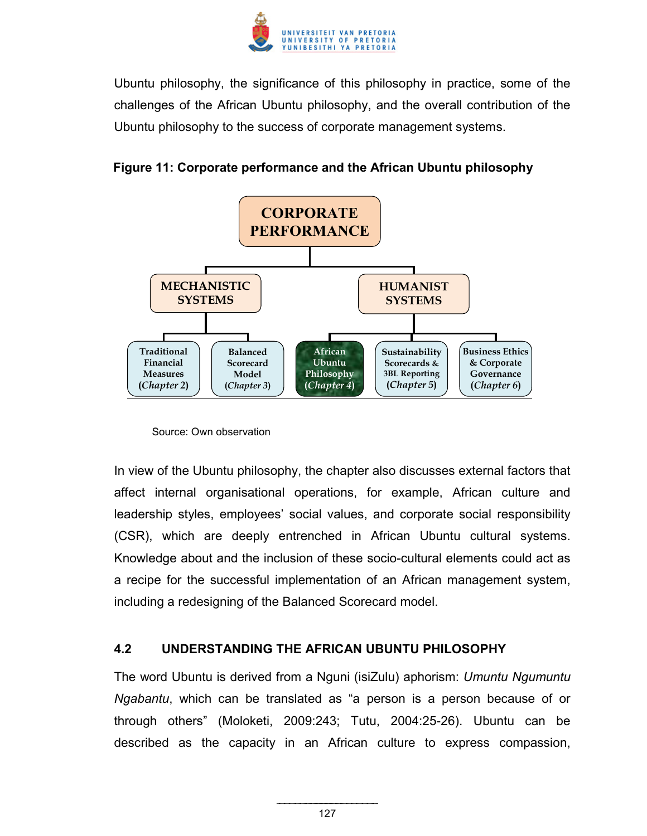

Ubuntu philosophy, the significance of this philosophy in practice, some of the challenges of the African Ubuntu philosophy, and the overall contribution of the Ubuntu philosophy to the success of corporate management systems.





In view of the Ubuntu philosophy, the chapter also discusses external factors that affect internal organisational operations, for example, African culture and leadership styles, employees' social values, and corporate social responsibility (CSR), which are deeply entrenched in African Ubuntu cultural systems. Knowledge about and the inclusion of these socio-cultural elements could act as a recipe for the successful implementation of an African management system, including a redesigning of the Balanced Scorecard model.

## **4.2 UNDERSTANDING THE AFRICAN UBUNTU PHILOSOPHY**

The word Ubuntu is derived from a Nguni (isiZulu) aphorism: *Umuntu Ngumuntu Ngabantu*, which can be translated as "a person is a person because of or through others" (Moloketi, 2009:243; Tutu, 2004:25-26). Ubuntu can be described as the capacity in an African culture to express compassion,

Source: Own observation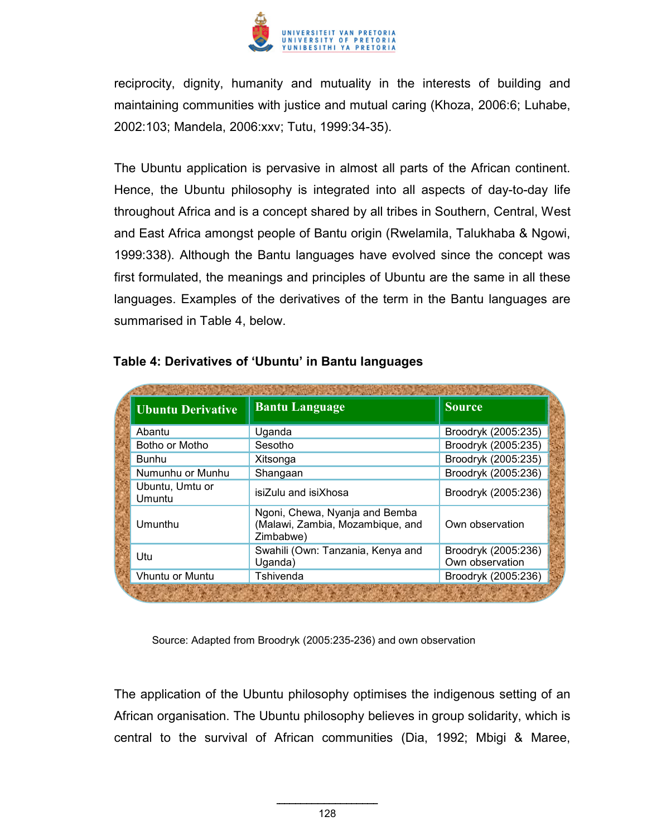

reciprocity, dignity, humanity and mutuality in the interests of building and maintaining communities with justice and mutual caring (Khoza, 2006:6; Luhabe, 2002:103; Mandela, 2006:xxv; Tutu, 1999:34-35).

The Ubuntu application is pervasive in almost all parts of the African continent. Hence, the Ubuntu philosophy is integrated into all aspects of day-to-day life throughout Africa and is a concept shared by all tribes in Southern, Central, West and East Africa amongst people of Bantu origin (Rwelamila, Talukhaba & Ngowi, 1999:338). Although the Bantu languages have evolved since the concept was first formulated, the meanings and principles of Ubuntu are the same in all these languages. Examples of the derivatives of the term in the Bantu languages are summarised in Table 4, below.

| <b>Ubuntu Derivative</b>  | <b>Bantu Language</b>                                                           | <b>Source</b>                          |
|---------------------------|---------------------------------------------------------------------------------|----------------------------------------|
| Abantu                    | Uganda                                                                          | Broodryk (2005:235)                    |
| Botho or Motho            | Sesotho                                                                         | Broodryk (2005:235)                    |
| Bunhu                     | Xitsonga                                                                        | Broodryk (2005:235)                    |
| Numunhu or Munhu          | Shangaan                                                                        | Broodryk (2005:236)                    |
| Ubuntu, Umtu or<br>Umuntu | isiZulu and isiXhosa                                                            | Broodryk (2005:236)                    |
| Umunthu                   | Ngoni, Chewa, Nyanja and Bemba<br>(Malawi, Zambia, Mozambique, and<br>Zimbabwe) | Own observation                        |
| Utu                       | Swahili (Own: Tanzania, Kenya and<br>Uganda)                                    | Broodryk (2005:236)<br>Own observation |
| <b>Vhuntu or Muntu</b>    | Tshivenda                                                                       | Broodryk (2005:236)                    |

## **Table 4: Derivatives of 'Ubuntu' in Bantu languages**

Source: Adapted from Broodryk (2005:235-236) and own observation

The application of the Ubuntu philosophy optimises the indigenous setting of an African organisation. The Ubuntu philosophy believes in group solidarity, which is central to the survival of African communities (Dia, 1992; Mbigi & Maree,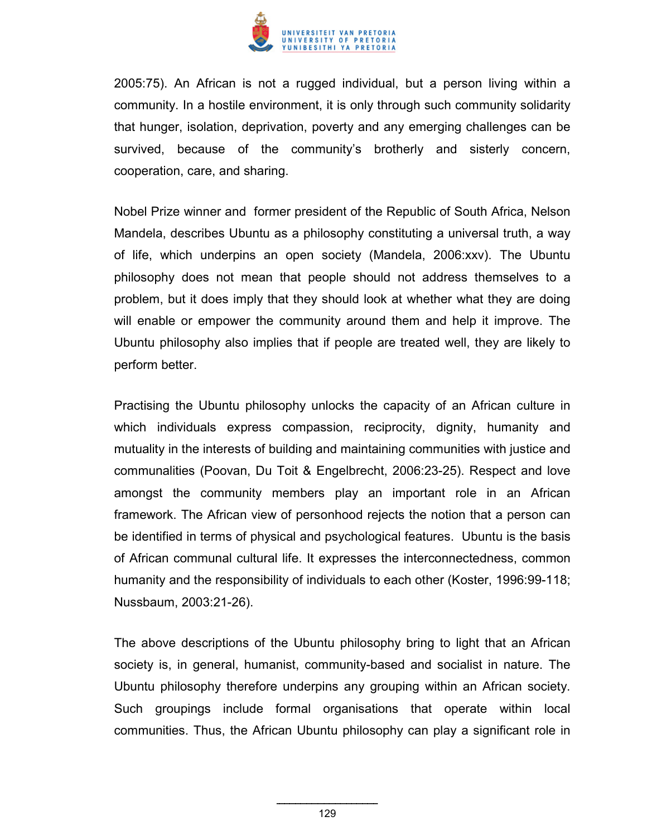

2005:75). An African is not a rugged individual, but a person living within a community. In a hostile environment, it is only through such community solidarity that hunger, isolation, deprivation, poverty and any emerging challenges can be survived, because of the community's brotherly and sisterly concern, cooperation, care, and sharing.

Nobel Prize winner and former president of the Republic of South Africa, Nelson Mandela, describes Ubuntu as a philosophy constituting a universal truth, a way of life, which underpins an open society (Mandela, 2006:xxv). The Ubuntu philosophy does not mean that people should not address themselves to a problem, but it does imply that they should look at whether what they are doing will enable or empower the community around them and help it improve. The Ubuntu philosophy also implies that if people are treated well, they are likely to perform better.

Practising the Ubuntu philosophy unlocks the capacity of an African culture in which individuals express compassion, reciprocity, dignity, humanity and mutuality in the interests of building and maintaining communities with justice and communalities (Poovan, Du Toit & Engelbrecht, 2006:23-25). Respect and love amongst the community members play an important role in an African framework. The African view of personhood rejects the notion that a person can be identified in terms of physical and psychological features. Ubuntu is the basis of African communal cultural life. It expresses the interconnectedness, common humanity and the responsibility of individuals to each other (Koster, 1996:99-118; Nussbaum, 2003:21-26).

The above descriptions of the Ubuntu philosophy bring to light that an African society is, in general, humanist, community-based and socialist in nature. The Ubuntu philosophy therefore underpins any grouping within an African society. Such groupings include formal organisations that operate within local communities. Thus, the African Ubuntu philosophy can play a significant role in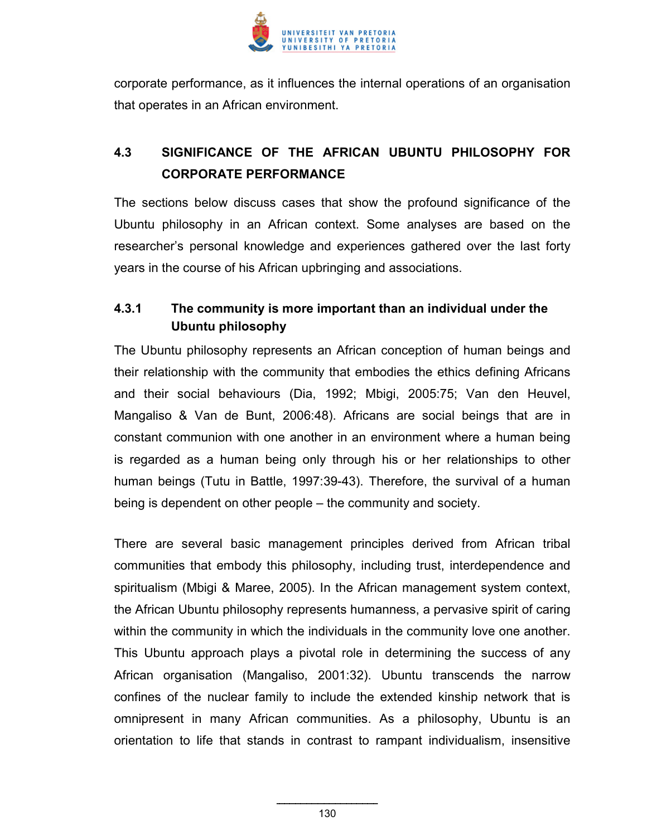

corporate performance, as it influences the internal operations of an organisation that operates in an African environment.

# **4.3 SIGNIFICANCE OF THE AFRICAN UBUNTU PHILOSOPHY FOR CORPORATE PERFORMANCE**

The sections below discuss cases that show the profound significance of the Ubuntu philosophy in an African context. Some analyses are based on the researcher's personal knowledge and experiences gathered over the last forty years in the course of his African upbringing and associations.

# **4.3.1 The community is more important than an individual under the Ubuntu philosophy**

The Ubuntu philosophy represents an African conception of human beings and their relationship with the community that embodies the ethics defining Africans and their social behaviours (Dia, 1992; Mbigi, 2005:75; Van den Heuvel, Mangaliso & Van de Bunt, 2006:48). Africans are social beings that are in constant communion with one another in an environment where a human being is regarded as a human being only through his or her relationships to other human beings (Tutu in Battle, 1997:39-43). Therefore, the survival of a human being is dependent on other people – the community and society.

There are several basic management principles derived from African tribal communities that embody this philosophy, including trust, interdependence and spiritualism (Mbigi & Maree, 2005). In the African management system context, the African Ubuntu philosophy represents humanness, a pervasive spirit of caring within the community in which the individuals in the community love one another. This Ubuntu approach plays a pivotal role in determining the success of any African organisation (Mangaliso, 2001:32). Ubuntu transcends the narrow confines of the nuclear family to include the extended kinship network that is omnipresent in many African communities. As a philosophy, Ubuntu is an orientation to life that stands in contrast to rampant individualism, insensitive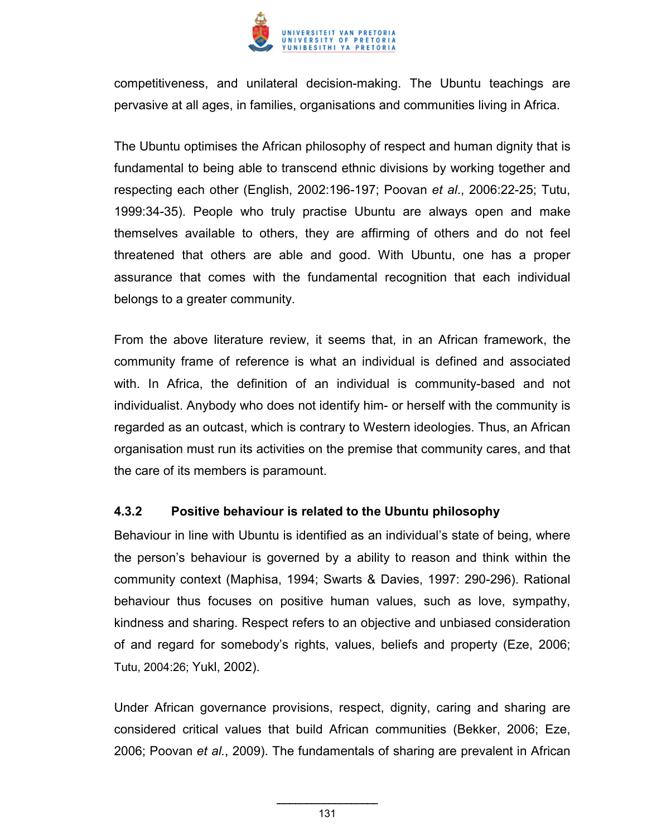

competitiveness, and unilateral decision-making. The Ubuntu teachings are pervasive at all ages, in families, organisations and communities living in Africa.

The Ubuntu optimises the African philosophy of respect and human dignity that is fundamental to being able to transcend ethnic divisions by working together and respecting each other (English, 2002:196-197; Poovan *et al*., 2006:22-25; Tutu, 1999:34-35). People who truly practise Ubuntu are always open and make themselves available to others, they are affirming of others and do not feel threatened that others are able and good. With Ubuntu, one has a proper assurance that comes with the fundamental recognition that each individual belongs to a greater community.

From the above literature review, it seems that, in an African framework, the community frame of reference is what an individual is defined and associated with. In Africa, the definition of an individual is community-based and not individualist. Anybody who does not identify him- or herself with the community is regarded as an outcast, which is contrary to Western ideologies. Thus, an African organisation must run its activities on the premise that community cares, and that the care of its members is paramount.

#### **4.3.2 Positive behaviour is related to the Ubuntu philosophy**

Behaviour in line with Ubuntu is identified as an individual's state of being, where the person's behaviour is governed by a ability to reason and think within the community context (Maphisa, 1994; Swarts & Davies, 1997: 290-296). Rational behaviour thus focuses on positive human values, such as love, sympathy, kindness and sharing. Respect refers to an objective and unbiased consideration of and regard for somebody's rights, values, beliefs and property (Eze, 2006; Tutu, 2004:26; Yukl, 2002).

Under African governance provisions, respect, dignity, caring and sharing are considered critical values that build African communities (Bekker, 2006; Eze, 2006; Poovan *et al.*, 2009). The fundamentals of sharing are prevalent in African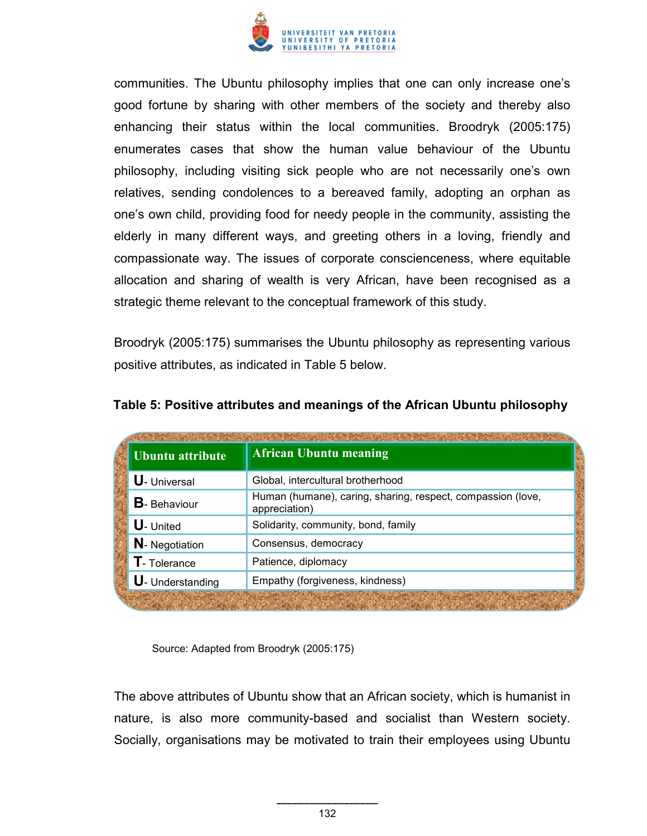

communities. The Ubuntu philosophy implies that one can only increase one's good fortune by sharing with other members of the society and thereby also enhancing their status within the local communities. Broodryk (2005:175) enumerates cases that show the human value behaviour of the Ubuntu philosophy, including visiting sick people who are not necessarily one's own relatives, sending condolences to a bereaved family, adopting an orphan as one's own child, providing food for needy people in the community, assisting the elderly in many different ways, and greeting others in a loving, friendly and compassionate way. The issues of corporate conscienceness, where equitable allocation and sharing of wealth is very African, have been recognised as a strategic theme relevant to the conceptual framework of this study.

Broodryk (2005:175) summarises the Ubuntu philosophy as representing various positive attributes, as indicated in Table 5 below.

| <b>Ubuntu attribute</b>                                | <b>African Ubuntu meaning</b>                                                |  |
|--------------------------------------------------------|------------------------------------------------------------------------------|--|
| <b>U</b> - Universal                                   | Global, intercultural brotherhood                                            |  |
| <b>B</b> -Behaviour                                    | Human (humane), caring, sharing, respect, compassion (love,<br>appreciation) |  |
| $U$ - United                                           | Solidarity, community, bond, family                                          |  |
| N- Negotiation                                         | Consensus, democracy                                                         |  |
| $\mathsf T$ - Tolerance                                | Patience, diplomacy                                                          |  |
| Empathy (forgiveness, kindness)<br>$U$ - Understanding |                                                                              |  |

| Table 5: Positive attributes and meanings of the African Ubuntu philosophy |  |  |  |  |
|----------------------------------------------------------------------------|--|--|--|--|
|                                                                            |  |  |  |  |

Source: Adapted from Broodryk (2005:175)

The above attributes of Ubuntu show that an African society, which is humanist in nature, is also more community-based and socialist than Western society. Socially, organisations may be motivated to train their employees using Ubuntu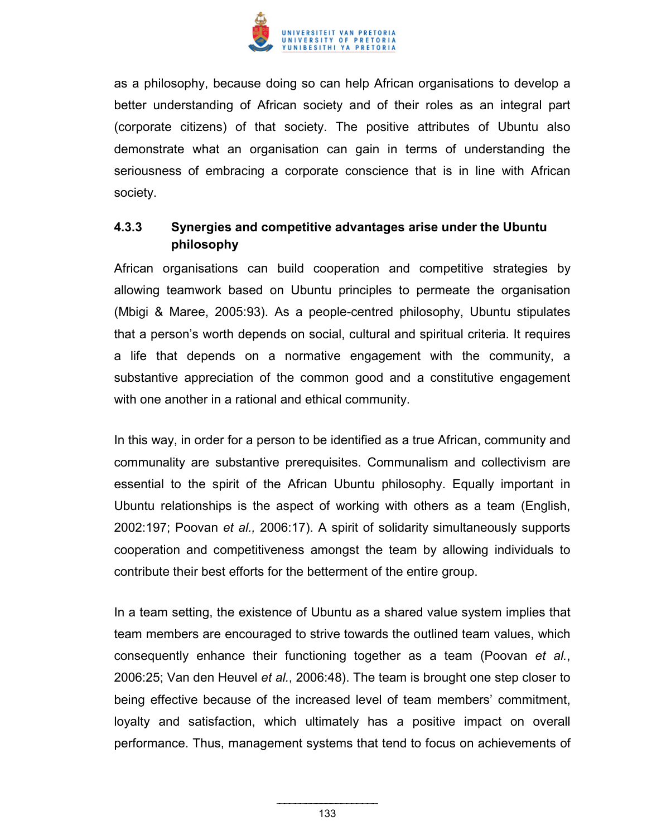

as a philosophy, because doing so can help African organisations to develop a better understanding of African society and of their roles as an integral part (corporate citizens) of that society. The positive attributes of Ubuntu also demonstrate what an organisation can gain in terms of understanding the seriousness of embracing a corporate conscience that is in line with African society.

# **4.3.3 Synergies and competitive advantages arise under the Ubuntu philosophy**

African organisations can build cooperation and competitive strategies by allowing teamwork based on Ubuntu principles to permeate the organisation (Mbigi & Maree, 2005:93). As a people-centred philosophy, Ubuntu stipulates that a person's worth depends on social, cultural and spiritual criteria. It requires a life that depends on a normative engagement with the community, a substantive appreciation of the common good and a constitutive engagement with one another in a rational and ethical community.

In this way, in order for a person to be identified as a true African, community and communality are substantive prerequisites. Communalism and collectivism are essential to the spirit of the African Ubuntu philosophy. Equally important in Ubuntu relationships is the aspect of working with others as a team (English, 2002:197; Poovan *et al.,* 2006:17). A spirit of solidarity simultaneously supports cooperation and competitiveness amongst the team by allowing individuals to contribute their best efforts for the betterment of the entire group.

In a team setting, the existence of Ubuntu as a shared value system implies that team members are encouraged to strive towards the outlined team values, which consequently enhance their functioning together as a team (Poovan *et al.*, 2006:25; Van den Heuvel *et al.*, 2006:48). The team is brought one step closer to being effective because of the increased level of team members' commitment, loyalty and satisfaction, which ultimately has a positive impact on overall performance. Thus, management systems that tend to focus on achievements of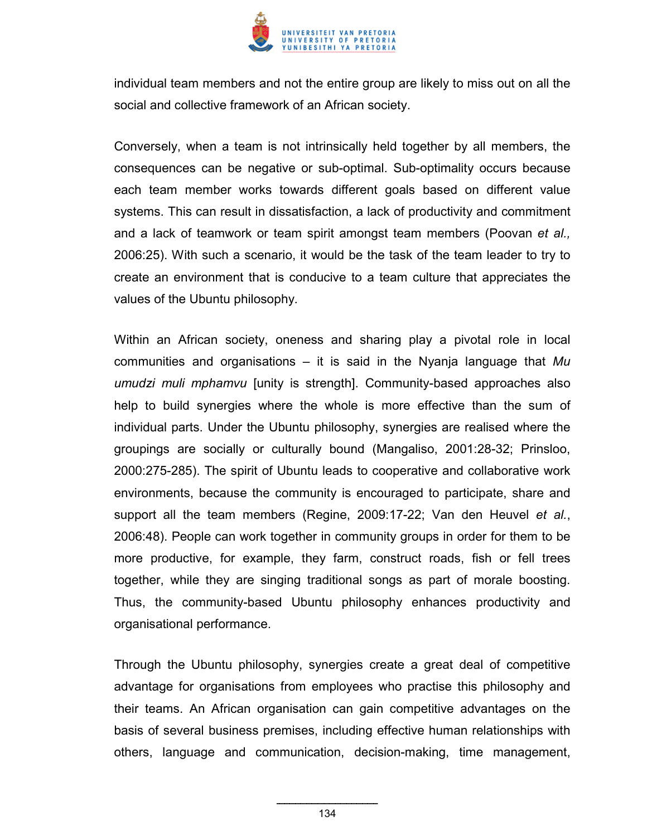

individual team members and not the entire group are likely to miss out on all the social and collective framework of an African society.

Conversely, when a team is not intrinsically held together by all members, the consequences can be negative or sub-optimal. Sub-optimality occurs because each team member works towards different goals based on different value systems. This can result in dissatisfaction, a lack of productivity and commitment and a lack of teamwork or team spirit amongst team members (Poovan *et al.,*  2006:25). With such a scenario, it would be the task of the team leader to try to create an environment that is conducive to a team culture that appreciates the values of the Ubuntu philosophy.

Within an African society, oneness and sharing play a pivotal role in local communities and organisations – it is said in the Nyanja language that *Mu umudzi muli mphamvu* [unity is strength]. Community-based approaches also help to build synergies where the whole is more effective than the sum of individual parts. Under the Ubuntu philosophy, synergies are realised where the groupings are socially or culturally bound (Mangaliso, 2001:28-32; Prinsloo, 2000:275-285). The spirit of Ubuntu leads to cooperative and collaborative work environments, because the community is encouraged to participate, share and support all the team members (Regine, 2009:17-22; Van den Heuvel *et al.*, 2006:48). People can work together in community groups in order for them to be more productive, for example, they farm, construct roads, fish or fell trees together, while they are singing traditional songs as part of morale boosting. Thus, the community-based Ubuntu philosophy enhances productivity and organisational performance.

Through the Ubuntu philosophy, synergies create a great deal of competitive advantage for organisations from employees who practise this philosophy and their teams. An African organisation can gain competitive advantages on the basis of several business premises, including effective human relationships with others, language and communication, decision-making, time management,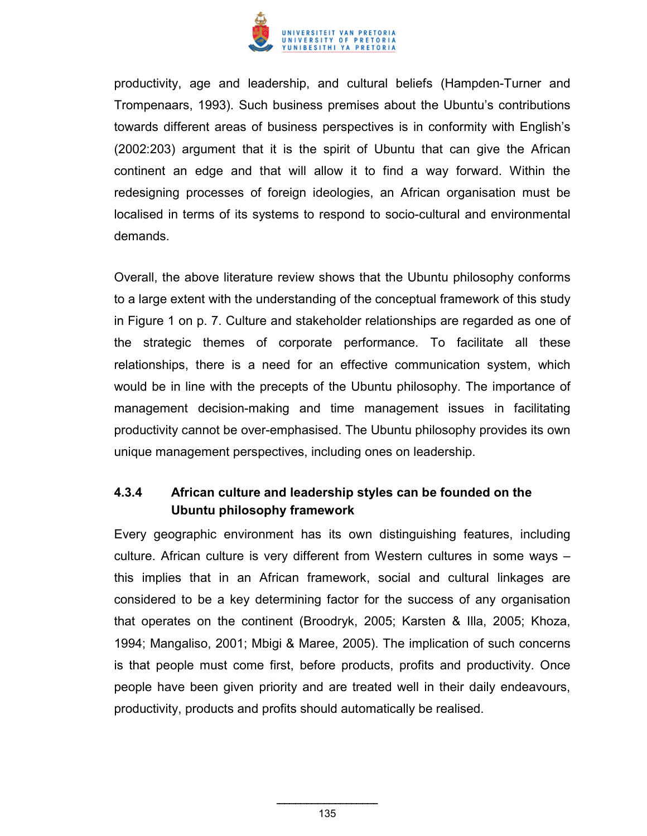

productivity, age and leadership, and cultural beliefs (Hampden-Turner and Trompenaars, 1993). Such business premises about the Ubuntu's contributions towards different areas of business perspectives is in conformity with English's (2002:203) argument that it is the spirit of Ubuntu that can give the African continent an edge and that will allow it to find a way forward. Within the redesigning processes of foreign ideologies, an African organisation must be localised in terms of its systems to respond to socio-cultural and environmental demands.

Overall, the above literature review shows that the Ubuntu philosophy conforms to a large extent with the understanding of the conceptual framework of this study in Figure 1 on p. 7. Culture and stakeholder relationships are regarded as one of the strategic themes of corporate performance. To facilitate all these relationships, there is a need for an effective communication system, which would be in line with the precepts of the Ubuntu philosophy. The importance of management decision-making and time management issues in facilitating productivity cannot be over-emphasised. The Ubuntu philosophy provides its own unique management perspectives, including ones on leadership.

# **4.3.4 African culture and leadership styles can be founded on the Ubuntu philosophy framework**

Every geographic environment has its own distinguishing features, including culture. African culture is very different from Western cultures in some ways – this implies that in an African framework, social and cultural linkages are considered to be a key determining factor for the success of any organisation that operates on the continent (Broodryk, 2005; Karsten & Illa, 2005; Khoza, 1994; Mangaliso, 2001; Mbigi & Maree, 2005). The implication of such concerns is that people must come first, before products, profits and productivity. Once people have been given priority and are treated well in their daily endeavours, productivity, products and profits should automatically be realised.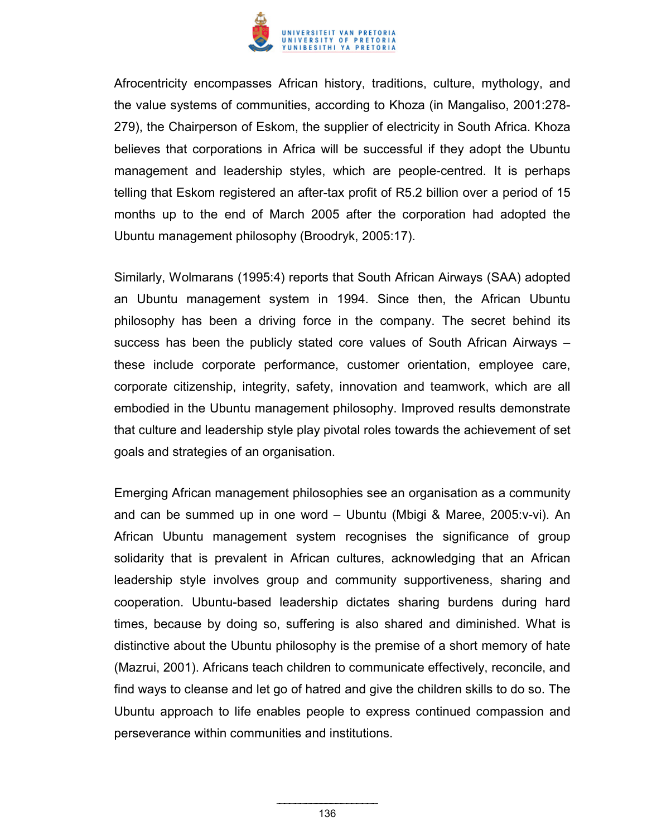

Afrocentricity encompasses African history, traditions, culture, mythology, and the value systems of communities, according to Khoza (in Mangaliso, 2001:278- 279), the Chairperson of Eskom, the supplier of electricity in South Africa. Khoza believes that corporations in Africa will be successful if they adopt the Ubuntu management and leadership styles, which are people-centred. It is perhaps telling that Eskom registered an after-tax profit of R5.2 billion over a period of 15 months up to the end of March 2005 after the corporation had adopted the Ubuntu management philosophy (Broodryk, 2005:17).

Similarly, Wolmarans (1995:4) reports that South African Airways (SAA) adopted an Ubuntu management system in 1994. Since then, the African Ubuntu philosophy has been a driving force in the company. The secret behind its success has been the publicly stated core values of South African Airways – these include corporate performance, customer orientation, employee care, corporate citizenship, integrity, safety, innovation and teamwork, which are all embodied in the Ubuntu management philosophy. Improved results demonstrate that culture and leadership style play pivotal roles towards the achievement of set goals and strategies of an organisation.

Emerging African management philosophies see an organisation as a community and can be summed up in one word – Ubuntu (Mbigi & Maree, 2005:v-vi). An African Ubuntu management system recognises the significance of group solidarity that is prevalent in African cultures, acknowledging that an African leadership style involves group and community supportiveness, sharing and cooperation. Ubuntu-based leadership dictates sharing burdens during hard times, because by doing so, suffering is also shared and diminished. What is distinctive about the Ubuntu philosophy is the premise of a short memory of hate (Mazrui, 2001). Africans teach children to communicate effectively, reconcile, and find ways to cleanse and let go of hatred and give the children skills to do so. The Ubuntu approach to life enables people to express continued compassion and perseverance within communities and institutions.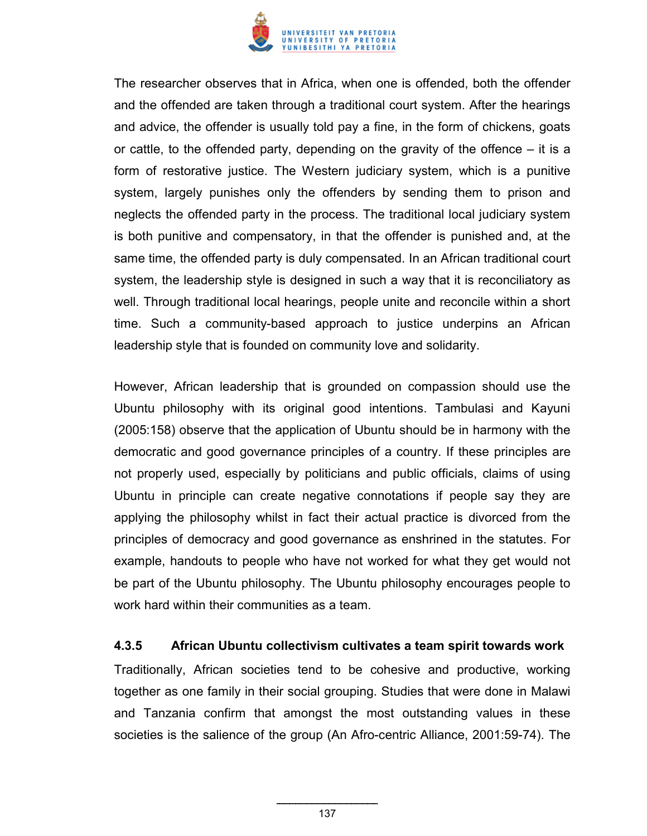

The researcher observes that in Africa, when one is offended, both the offender and the offended are taken through a traditional court system. After the hearings and advice, the offender is usually told pay a fine, in the form of chickens, goats or cattle, to the offended party, depending on the gravity of the offence – it is a form of restorative justice. The Western judiciary system, which is a punitive system, largely punishes only the offenders by sending them to prison and neglects the offended party in the process. The traditional local judiciary system is both punitive and compensatory, in that the offender is punished and, at the same time, the offended party is duly compensated. In an African traditional court system, the leadership style is designed in such a way that it is reconciliatory as well. Through traditional local hearings, people unite and reconcile within a short time. Such a community-based approach to justice underpins an African leadership style that is founded on community love and solidarity.

However, African leadership that is grounded on compassion should use the Ubuntu philosophy with its original good intentions. Tambulasi and Kayuni (2005:158) observe that the application of Ubuntu should be in harmony with the democratic and good governance principles of a country. If these principles are not properly used, especially by politicians and public officials, claims of using Ubuntu in principle can create negative connotations if people say they are applying the philosophy whilst in fact their actual practice is divorced from the principles of democracy and good governance as enshrined in the statutes. For example, handouts to people who have not worked for what they get would not be part of the Ubuntu philosophy. The Ubuntu philosophy encourages people to work hard within their communities as a team.

#### **4.3.5 African Ubuntu collectivism cultivates a team spirit towards work**

Traditionally, African societies tend to be cohesive and productive, working together as one family in their social grouping. Studies that were done in Malawi and Tanzania confirm that amongst the most outstanding values in these societies is the salience of the group (An Afro-centric Alliance, 2001:59-74). The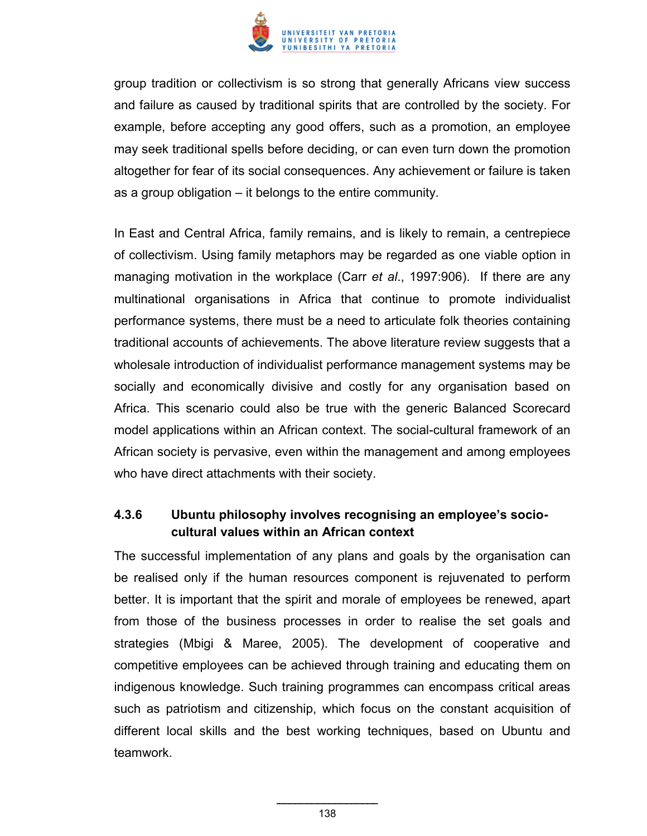

group tradition or collectivism is so strong that generally Africans view success and failure as caused by traditional spirits that are controlled by the society. For example, before accepting any good offers, such as a promotion, an employee may seek traditional spells before deciding, or can even turn down the promotion altogether for fear of its social consequences. Any achievement or failure is taken as a group obligation – it belongs to the entire community.

In East and Central Africa, family remains, and is likely to remain, a centrepiece of collectivism. Using family metaphors may be regarded as one viable option in managing motivation in the workplace (Carr *et al*., 1997:906). If there are any multinational organisations in Africa that continue to promote individualist performance systems, there must be a need to articulate folk theories containing traditional accounts of achievements. The above literature review suggests that a wholesale introduction of individualist performance management systems may be socially and economically divisive and costly for any organisation based on Africa. This scenario could also be true with the generic Balanced Scorecard model applications within an African context. The social-cultural framework of an African society is pervasive, even within the management and among employees who have direct attachments with their society.

## **4.3.6 Ubuntu philosophy involves recognising an employee's sociocultural values within an African context**

The successful implementation of any plans and goals by the organisation can be realised only if the human resources component is rejuvenated to perform better. It is important that the spirit and morale of employees be renewed, apart from those of the business processes in order to realise the set goals and strategies (Mbigi & Maree, 2005). The development of cooperative and competitive employees can be achieved through training and educating them on indigenous knowledge. Such training programmes can encompass critical areas such as patriotism and citizenship, which focus on the constant acquisition of different local skills and the best working techniques, based on Ubuntu and teamwork.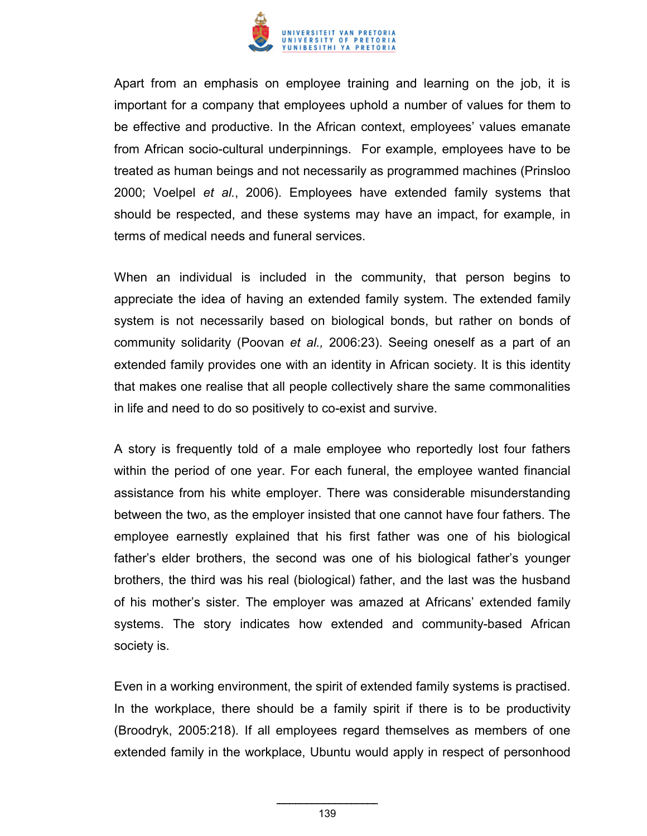

Apart from an emphasis on employee training and learning on the job, it is important for a company that employees uphold a number of values for them to be effective and productive. In the African context, employees' values emanate from African socio-cultural underpinnings. For example, employees have to be treated as human beings and not necessarily as programmed machines (Prinsloo 2000; Voelpel *et al.*, 2006). Employees have extended family systems that should be respected, and these systems may have an impact, for example, in terms of medical needs and funeral services.

When an individual is included in the community, that person begins to appreciate the idea of having an extended family system. The extended family system is not necessarily based on biological bonds, but rather on bonds of community solidarity (Poovan *et al.,* 2006:23). Seeing oneself as a part of an extended family provides one with an identity in African society. It is this identity that makes one realise that all people collectively share the same commonalities in life and need to do so positively to co-exist and survive.

A story is frequently told of a male employee who reportedly lost four fathers within the period of one year. For each funeral, the employee wanted financial assistance from his white employer. There was considerable misunderstanding between the two, as the employer insisted that one cannot have four fathers. The employee earnestly explained that his first father was one of his biological father's elder brothers, the second was one of his biological father's younger brothers, the third was his real (biological) father, and the last was the husband of his mother's sister. The employer was amazed at Africans' extended family systems. The story indicates how extended and community-based African society is.

Even in a working environment, the spirit of extended family systems is practised. In the workplace, there should be a family spirit if there is to be productivity (Broodryk, 2005:218). If all employees regard themselves as members of one extended family in the workplace, Ubuntu would apply in respect of personhood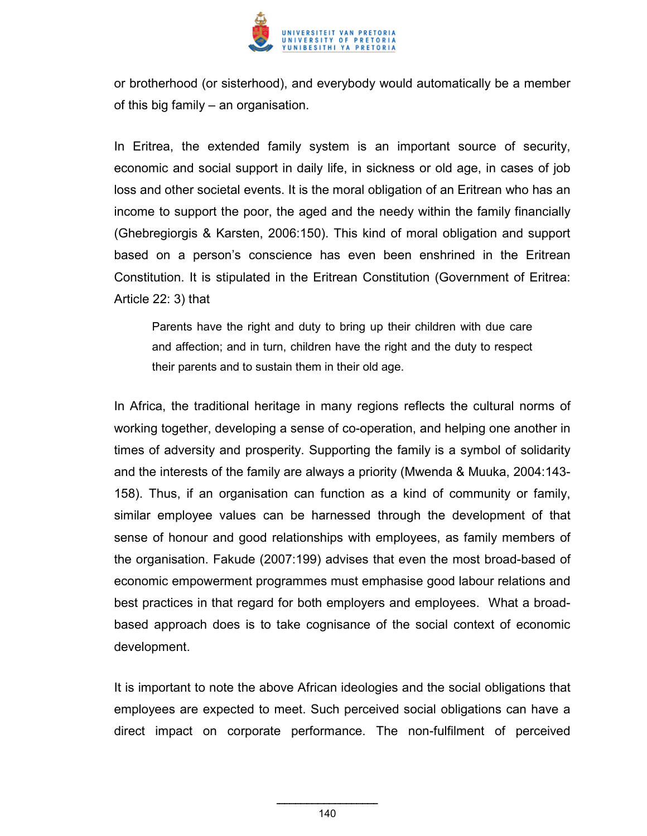

or brotherhood (or sisterhood), and everybody would automatically be a member of this big family – an organisation.

In Eritrea, the extended family system is an important source of security, economic and social support in daily life, in sickness or old age, in cases of job loss and other societal events. It is the moral obligation of an Eritrean who has an income to support the poor, the aged and the needy within the family financially (Ghebregiorgis & Karsten, 2006:150). This kind of moral obligation and support based on a person's conscience has even been enshrined in the Eritrean Constitution. It is stipulated in the Eritrean Constitution (Government of Eritrea: Article 22: 3) that

Parents have the right and duty to bring up their children with due care and affection; and in turn, children have the right and the duty to respect their parents and to sustain them in their old age.

In Africa, the traditional heritage in many regions reflects the cultural norms of working together, developing a sense of co-operation, and helping one another in times of adversity and prosperity. Supporting the family is a symbol of solidarity and the interests of the family are always a priority (Mwenda & Muuka, 2004:143- 158). Thus, if an organisation can function as a kind of community or family, similar employee values can be harnessed through the development of that sense of honour and good relationships with employees, as family members of the organisation. Fakude (2007:199) advises that even the most broad-based of economic empowerment programmes must emphasise good labour relations and best practices in that regard for both employers and employees. What a broadbased approach does is to take cognisance of the social context of economic development.

It is important to note the above African ideologies and the social obligations that employees are expected to meet. Such perceived social obligations can have a direct impact on corporate performance. The non-fulfilment of perceived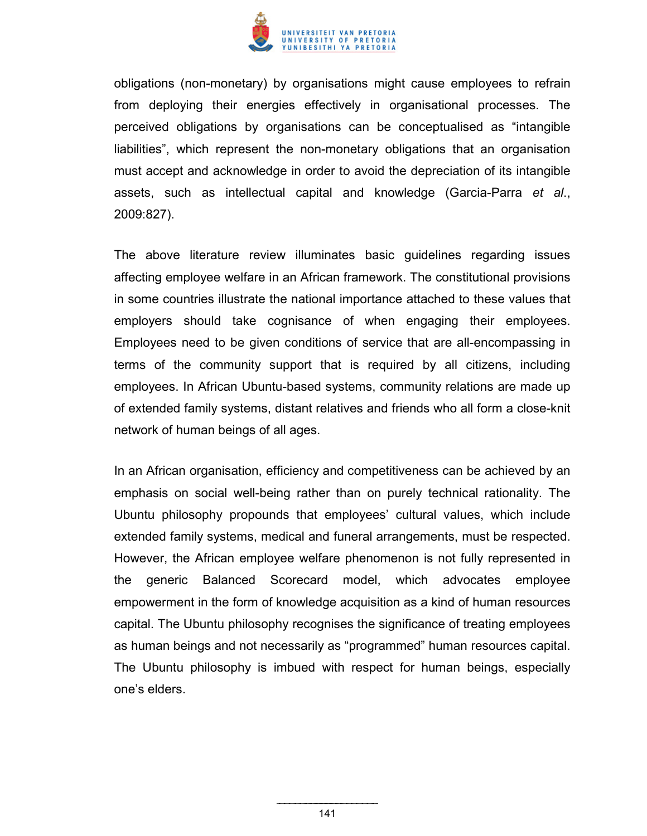

obligations (non-monetary) by organisations might cause employees to refrain from deploying their energies effectively in organisational processes. The perceived obligations by organisations can be conceptualised as "intangible liabilities", which represent the non-monetary obligations that an organisation must accept and acknowledge in order to avoid the depreciation of its intangible assets, such as intellectual capital and knowledge (Garcia-Parra *et al*., 2009:827).

The above literature review illuminates basic guidelines regarding issues affecting employee welfare in an African framework. The constitutional provisions in some countries illustrate the national importance attached to these values that employers should take cognisance of when engaging their employees. Employees need to be given conditions of service that are all-encompassing in terms of the community support that is required by all citizens, including employees. In African Ubuntu-based systems, community relations are made up of extended family systems, distant relatives and friends who all form a close-knit network of human beings of all ages.

In an African organisation, efficiency and competitiveness can be achieved by an emphasis on social well-being rather than on purely technical rationality. The Ubuntu philosophy propounds that employees' cultural values, which include extended family systems, medical and funeral arrangements, must be respected. However, the African employee welfare phenomenon is not fully represented in the generic Balanced Scorecard model, which advocates employee empowerment in the form of knowledge acquisition as a kind of human resources capital. The Ubuntu philosophy recognises the significance of treating employees as human beings and not necessarily as "programmed" human resources capital. The Ubuntu philosophy is imbued with respect for human beings, especially one's elders.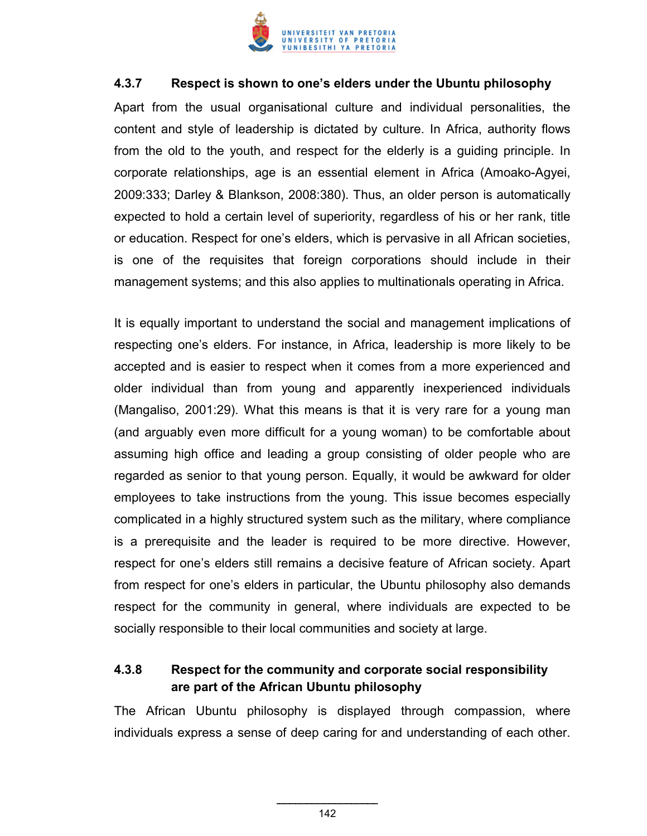

### **4.3.7 Respect is shown to one's elders under the Ubuntu philosophy**

Apart from the usual organisational culture and individual personalities, the content and style of leadership is dictated by culture. In Africa, authority flows from the old to the youth, and respect for the elderly is a guiding principle. In corporate relationships, age is an essential element in Africa (Amoako-Agyei, 2009:333; Darley & Blankson, 2008:380). Thus, an older person is automatically expected to hold a certain level of superiority, regardless of his or her rank, title or education. Respect for one's elders, which is pervasive in all African societies, is one of the requisites that foreign corporations should include in their management systems; and this also applies to multinationals operating in Africa.

It is equally important to understand the social and management implications of respecting one's elders. For instance, in Africa, leadership is more likely to be accepted and is easier to respect when it comes from a more experienced and older individual than from young and apparently inexperienced individuals (Mangaliso, 2001:29). What this means is that it is very rare for a young man (and arguably even more difficult for a young woman) to be comfortable about assuming high office and leading a group consisting of older people who are regarded as senior to that young person. Equally, it would be awkward for older employees to take instructions from the young. This issue becomes especially complicated in a highly structured system such as the military, where compliance is a prerequisite and the leader is required to be more directive. However, respect for one's elders still remains a decisive feature of African society. Apart from respect for one's elders in particular, the Ubuntu philosophy also demands respect for the community in general, where individuals are expected to be socially responsible to their local communities and society at large.

# **4.3.8 Respect for the community and corporate social responsibility are part of the African Ubuntu philosophy**

The African Ubuntu philosophy is displayed through compassion, where individuals express a sense of deep caring for and understanding of each other.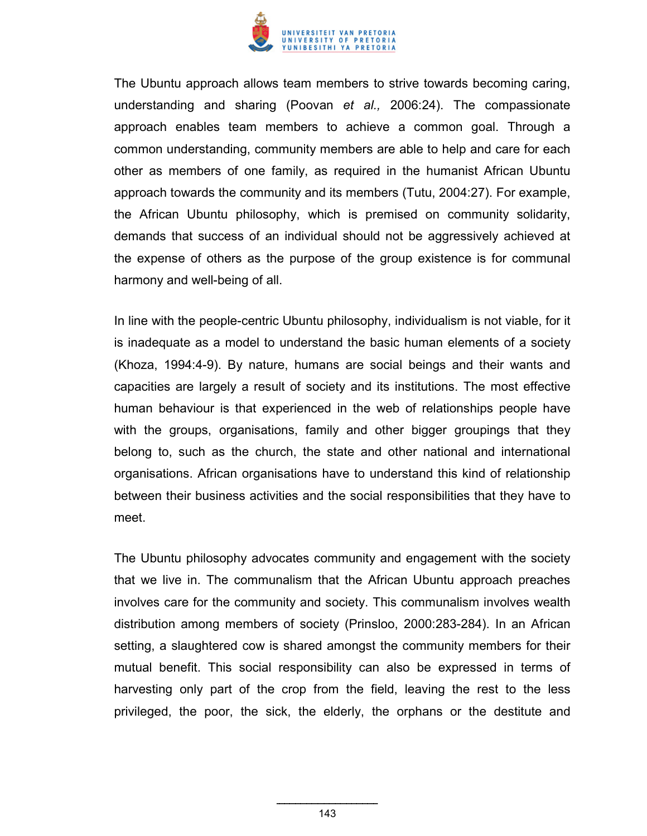

The Ubuntu approach allows team members to strive towards becoming caring, understanding and sharing (Poovan *et al.,* 2006:24). The compassionate approach enables team members to achieve a common goal. Through a common understanding, community members are able to help and care for each other as members of one family, as required in the humanist African Ubuntu approach towards the community and its members (Tutu, 2004:27). For example, the African Ubuntu philosophy, which is premised on community solidarity, demands that success of an individual should not be aggressively achieved at the expense of others as the purpose of the group existence is for communal harmony and well-being of all.

In line with the people-centric Ubuntu philosophy, individualism is not viable, for it is inadequate as a model to understand the basic human elements of a society (Khoza, 1994:4-9). By nature, humans are social beings and their wants and capacities are largely a result of society and its institutions. The most effective human behaviour is that experienced in the web of relationships people have with the groups, organisations, family and other bigger groupings that they belong to, such as the church, the state and other national and international organisations. African organisations have to understand this kind of relationship between their business activities and the social responsibilities that they have to meet.

The Ubuntu philosophy advocates community and engagement with the society that we live in. The communalism that the African Ubuntu approach preaches involves care for the community and society. This communalism involves wealth distribution among members of society (Prinsloo, 2000:283-284). In an African setting, a slaughtered cow is shared amongst the community members for their mutual benefit. This social responsibility can also be expressed in terms of harvesting only part of the crop from the field, leaving the rest to the less privileged, the poor, the sick, the elderly, the orphans or the destitute and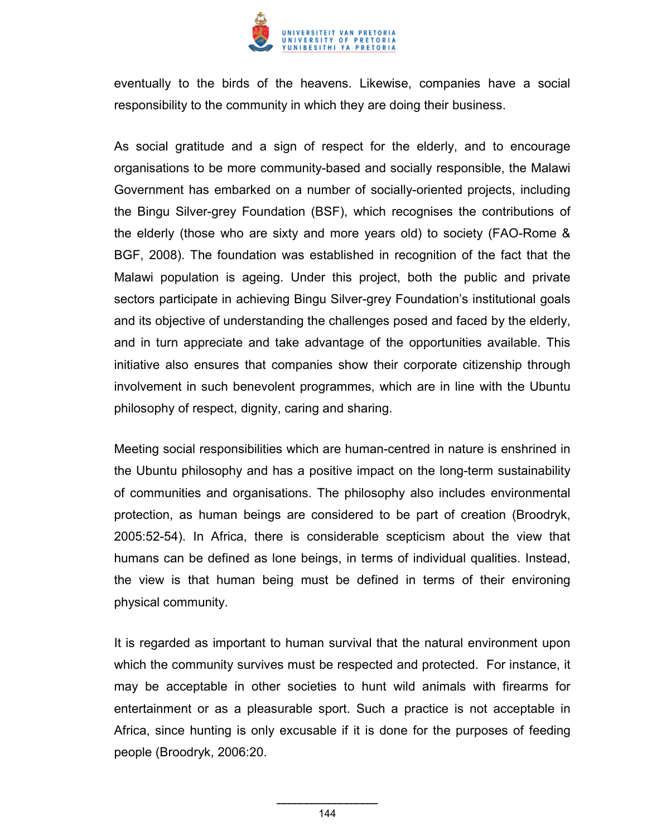

eventually to the birds of the heavens. Likewise, companies have a social responsibility to the community in which they are doing their business.

As social gratitude and a sign of respect for the elderly, and to encourage organisations to be more community-based and socially responsible, the Malawi Government has embarked on a number of socially-oriented projects, including the Bingu Silver-grey Foundation (BSF), which recognises the contributions of the elderly (those who are sixty and more years old) to society (FAO-Rome & BGF, 2008). The foundation was established in recognition of the fact that the Malawi population is ageing. Under this project, both the public and private sectors participate in achieving Bingu Silver-grey Foundation's institutional goals and its objective of understanding the challenges posed and faced by the elderly, and in turn appreciate and take advantage of the opportunities available. This initiative also ensures that companies show their corporate citizenship through involvement in such benevolent programmes, which are in line with the Ubuntu philosophy of respect, dignity, caring and sharing.

Meeting social responsibilities which are human-centred in nature is enshrined in the Ubuntu philosophy and has a positive impact on the long-term sustainability of communities and organisations. The philosophy also includes environmental protection, as human beings are considered to be part of creation (Broodryk, 2005:52-54). In Africa, there is considerable scepticism about the view that humans can be defined as lone beings, in terms of individual qualities. Instead, the view is that human being must be defined in terms of their environing physical community.

It is regarded as important to human survival that the natural environment upon which the community survives must be respected and protected. For instance, it may be acceptable in other societies to hunt wild animals with firearms for entertainment or as a pleasurable sport. Such a practice is not acceptable in Africa, since hunting is only excusable if it is done for the purposes of feeding people (Broodryk, 2006:20.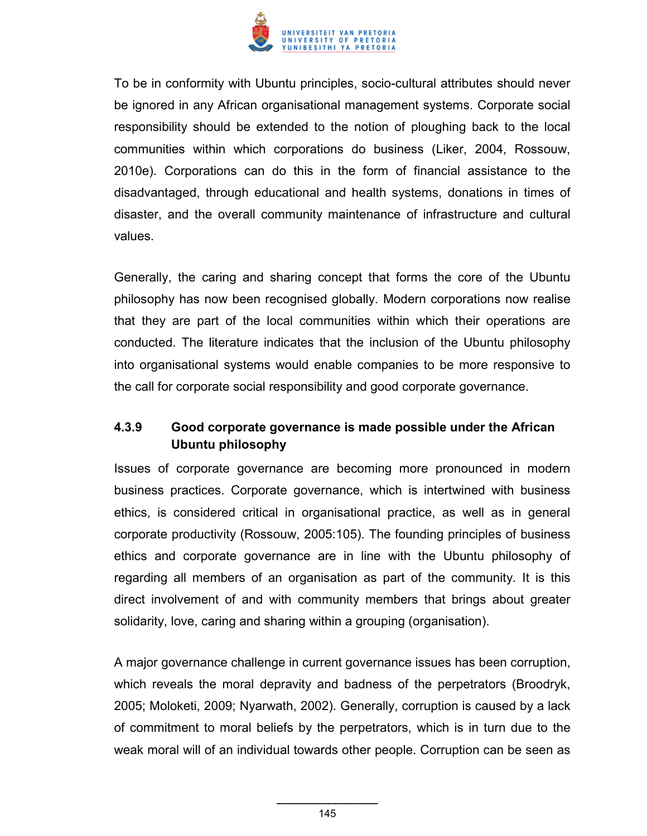

To be in conformity with Ubuntu principles, socio-cultural attributes should never be ignored in any African organisational management systems. Corporate social responsibility should be extended to the notion of ploughing back to the local communities within which corporations do business (Liker, 2004, Rossouw, 2010e). Corporations can do this in the form of financial assistance to the disadvantaged, through educational and health systems, donations in times of disaster, and the overall community maintenance of infrastructure and cultural values.

Generally, the caring and sharing concept that forms the core of the Ubuntu philosophy has now been recognised globally. Modern corporations now realise that they are part of the local communities within which their operations are conducted. The literature indicates that the inclusion of the Ubuntu philosophy into organisational systems would enable companies to be more responsive to the call for corporate social responsibility and good corporate governance.

## **4.3.9 Good corporate governance is made possible under the African Ubuntu philosophy**

Issues of corporate governance are becoming more pronounced in modern business practices. Corporate governance, which is intertwined with business ethics, is considered critical in organisational practice, as well as in general corporate productivity (Rossouw, 2005:105). The founding principles of business ethics and corporate governance are in line with the Ubuntu philosophy of regarding all members of an organisation as part of the community. It is this direct involvement of and with community members that brings about greater solidarity, love, caring and sharing within a grouping (organisation).

A major governance challenge in current governance issues has been corruption, which reveals the moral depravity and badness of the perpetrators (Broodryk, 2005; Moloketi, 2009; Nyarwath, 2002). Generally, corruption is caused by a lack of commitment to moral beliefs by the perpetrators, which is in turn due to the weak moral will of an individual towards other people. Corruption can be seen as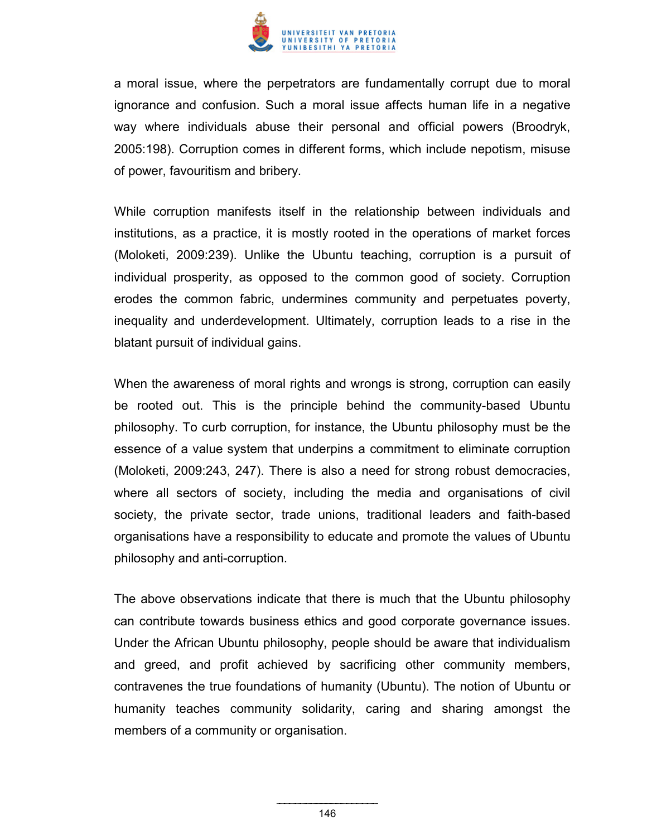

a moral issue, where the perpetrators are fundamentally corrupt due to moral ignorance and confusion. Such a moral issue affects human life in a negative way where individuals abuse their personal and official powers (Broodryk, 2005:198). Corruption comes in different forms, which include nepotism, misuse of power, favouritism and bribery.

While corruption manifests itself in the relationship between individuals and institutions, as a practice, it is mostly rooted in the operations of market forces (Moloketi, 2009:239). Unlike the Ubuntu teaching, corruption is a pursuit of individual prosperity, as opposed to the common good of society. Corruption erodes the common fabric, undermines community and perpetuates poverty, inequality and underdevelopment. Ultimately, corruption leads to a rise in the blatant pursuit of individual gains.

When the awareness of moral rights and wrongs is strong, corruption can easily be rooted out. This is the principle behind the community-based Ubuntu philosophy. To curb corruption, for instance, the Ubuntu philosophy must be the essence of a value system that underpins a commitment to eliminate corruption (Moloketi, 2009:243, 247). There is also a need for strong robust democracies, where all sectors of society, including the media and organisations of civil society, the private sector, trade unions, traditional leaders and faith-based organisations have a responsibility to educate and promote the values of Ubuntu philosophy and anti-corruption.

The above observations indicate that there is much that the Ubuntu philosophy can contribute towards business ethics and good corporate governance issues. Under the African Ubuntu philosophy, people should be aware that individualism and greed, and profit achieved by sacrificing other community members, contravenes the true foundations of humanity (Ubuntu). The notion of Ubuntu or humanity teaches community solidarity, caring and sharing amongst the members of a community or organisation.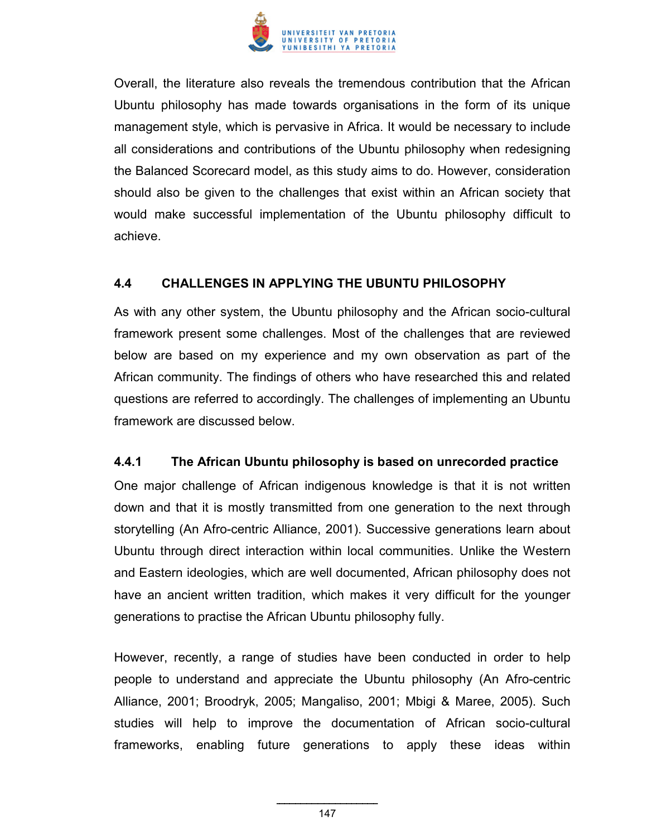

Overall, the literature also reveals the tremendous contribution that the African Ubuntu philosophy has made towards organisations in the form of its unique management style, which is pervasive in Africa. It would be necessary to include all considerations and contributions of the Ubuntu philosophy when redesigning the Balanced Scorecard model, as this study aims to do. However, consideration should also be given to the challenges that exist within an African society that would make successful implementation of the Ubuntu philosophy difficult to achieve.

## **4.4 CHALLENGES IN APPLYING THE UBUNTU PHILOSOPHY**

As with any other system, the Ubuntu philosophy and the African socio-cultural framework present some challenges. Most of the challenges that are reviewed below are based on my experience and my own observation as part of the African community. The findings of others who have researched this and related questions are referred to accordingly. The challenges of implementing an Ubuntu framework are discussed below.

## **4.4.1 The African Ubuntu philosophy is based on unrecorded practice**

One major challenge of African indigenous knowledge is that it is not written down and that it is mostly transmitted from one generation to the next through storytelling (An Afro-centric Alliance, 2001). Successive generations learn about Ubuntu through direct interaction within local communities. Unlike the Western and Eastern ideologies, which are well documented, African philosophy does not have an ancient written tradition, which makes it very difficult for the younger generations to practise the African Ubuntu philosophy fully.

However, recently, a range of studies have been conducted in order to help people to understand and appreciate the Ubuntu philosophy (An Afro-centric Alliance, 2001; Broodryk, 2005; Mangaliso, 2001; Mbigi & Maree, 2005). Such studies will help to improve the documentation of African socio-cultural frameworks, enabling future generations to apply these ideas within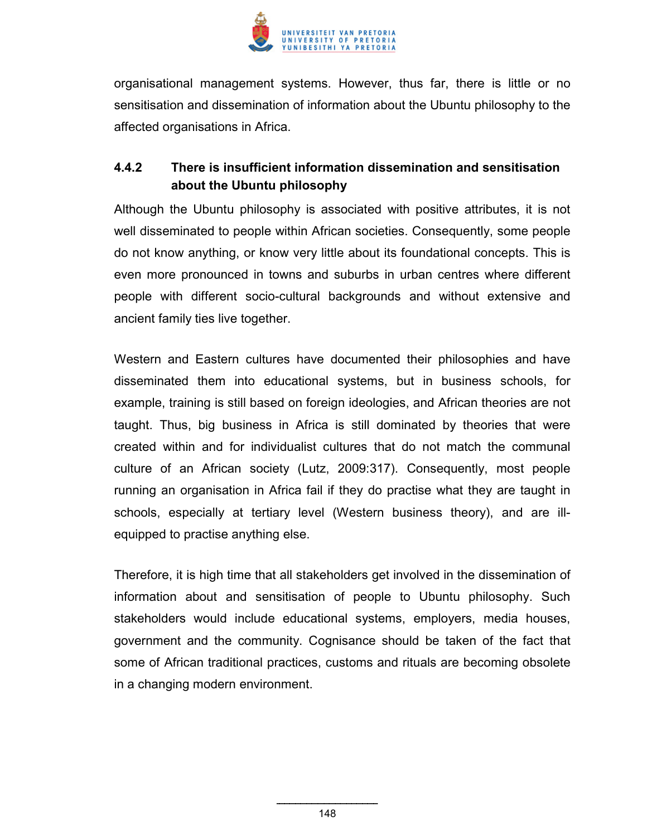

organisational management systems. However, thus far, there is little or no sensitisation and dissemination of information about the Ubuntu philosophy to the affected organisations in Africa.

# **4.4.2 There is insufficient information dissemination and sensitisation about the Ubuntu philosophy**

Although the Ubuntu philosophy is associated with positive attributes, it is not well disseminated to people within African societies. Consequently, some people do not know anything, or know very little about its foundational concepts. This is even more pronounced in towns and suburbs in urban centres where different people with different socio-cultural backgrounds and without extensive and ancient family ties live together.

Western and Eastern cultures have documented their philosophies and have disseminated them into educational systems, but in business schools, for example, training is still based on foreign ideologies, and African theories are not taught. Thus, big business in Africa is still dominated by theories that were created within and for individualist cultures that do not match the communal culture of an African society (Lutz, 2009:317). Consequently, most people running an organisation in Africa fail if they do practise what they are taught in schools, especially at tertiary level (Western business theory), and are illequipped to practise anything else.

Therefore, it is high time that all stakeholders get involved in the dissemination of information about and sensitisation of people to Ubuntu philosophy. Such stakeholders would include educational systems, employers, media houses, government and the community. Cognisance should be taken of the fact that some of African traditional practices, customs and rituals are becoming obsolete in a changing modern environment.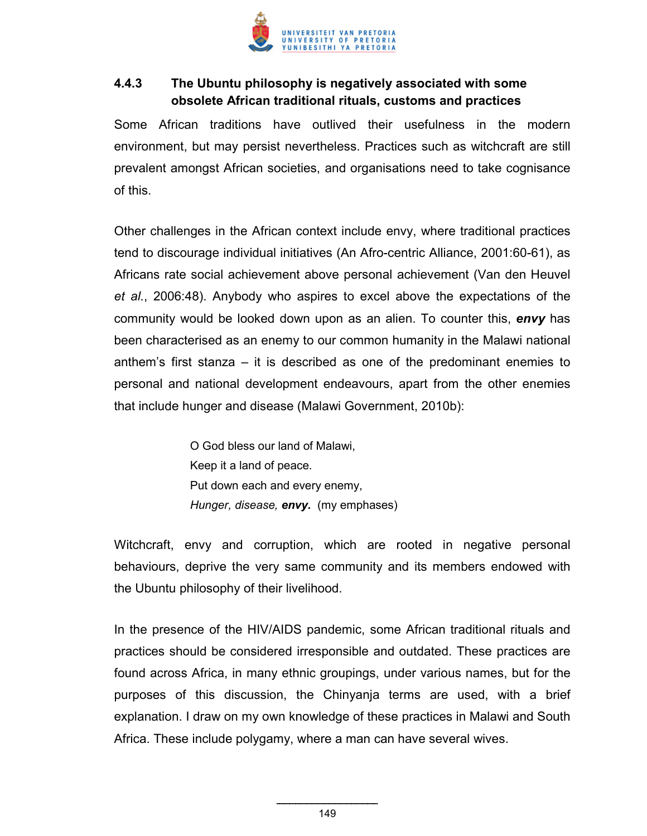

# **4.4.3 The Ubuntu philosophy is negatively associated with some obsolete African traditional rituals, customs and practices**

Some African traditions have outlived their usefulness in the modern environment, but may persist nevertheless. Practices such as witchcraft are still prevalent amongst African societies, and organisations need to take cognisance of this.

Other challenges in the African context include envy, where traditional practices tend to discourage individual initiatives (An Afro-centric Alliance, 2001:60-61), as Africans rate social achievement above personal achievement (Van den Heuvel *et al.*, 2006:48). Anybody who aspires to excel above the expectations of the community would be looked down upon as an alien. To counter this, *envy* has been characterised as an enemy to our common humanity in the Malawi national anthem's first stanza – it is described as one of the predominant enemies to personal and national development endeavours, apart from the other enemies that include hunger and disease (Malawi Government, 2010b):

> O God bless our land of Malawi, Keep it a land of peace. Put down each and every enemy, *Hunger, disease, envy.* (my emphases)

Witchcraft, envy and corruption, which are rooted in negative personal behaviours, deprive the very same community and its members endowed with the Ubuntu philosophy of their livelihood.

In the presence of the HIV/AIDS pandemic, some African traditional rituals and practices should be considered irresponsible and outdated. These practices are found across Africa, in many ethnic groupings, under various names, but for the purposes of this discussion, the Chinyanja terms are used, with a brief explanation. I draw on my own knowledge of these practices in Malawi and South Africa. These include polygamy, where a man can have several wives.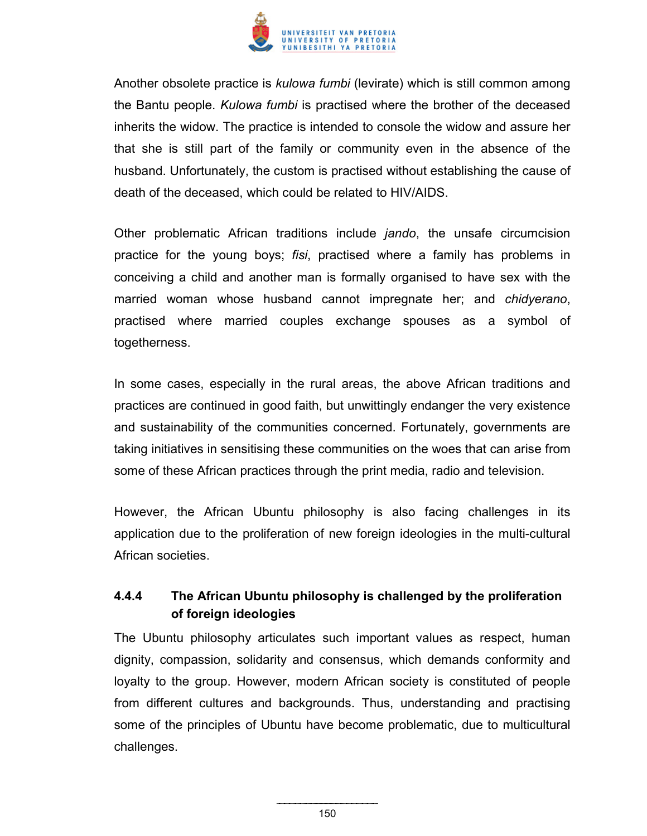

Another obsolete practice is *kulowa fumbi* (levirate) which is still common among the Bantu people. *Kulowa fumbi* is practised where the brother of the deceased inherits the widow. The practice is intended to console the widow and assure her that she is still part of the family or community even in the absence of the husband. Unfortunately, the custom is practised without establishing the cause of death of the deceased, which could be related to HIV/AIDS.

Other problematic African traditions include *jando*, the unsafe circumcision practice for the young boys; *fisi*, practised where a family has problems in conceiving a child and another man is formally organised to have sex with the married woman whose husband cannot impregnate her; and *chidyerano*, practised where married couples exchange spouses as a symbol of togetherness.

In some cases, especially in the rural areas, the above African traditions and practices are continued in good faith, but unwittingly endanger the very existence and sustainability of the communities concerned. Fortunately, governments are taking initiatives in sensitising these communities on the woes that can arise from some of these African practices through the print media, radio and television.

However, the African Ubuntu philosophy is also facing challenges in its application due to the proliferation of new foreign ideologies in the multi-cultural African societies.

# **4.4.4 The African Ubuntu philosophy is challenged by the proliferation of foreign ideologies**

The Ubuntu philosophy articulates such important values as respect, human dignity, compassion, solidarity and consensus, which demands conformity and loyalty to the group. However, modern African society is constituted of people from different cultures and backgrounds. Thus, understanding and practising some of the principles of Ubuntu have become problematic, due to multicultural challenges.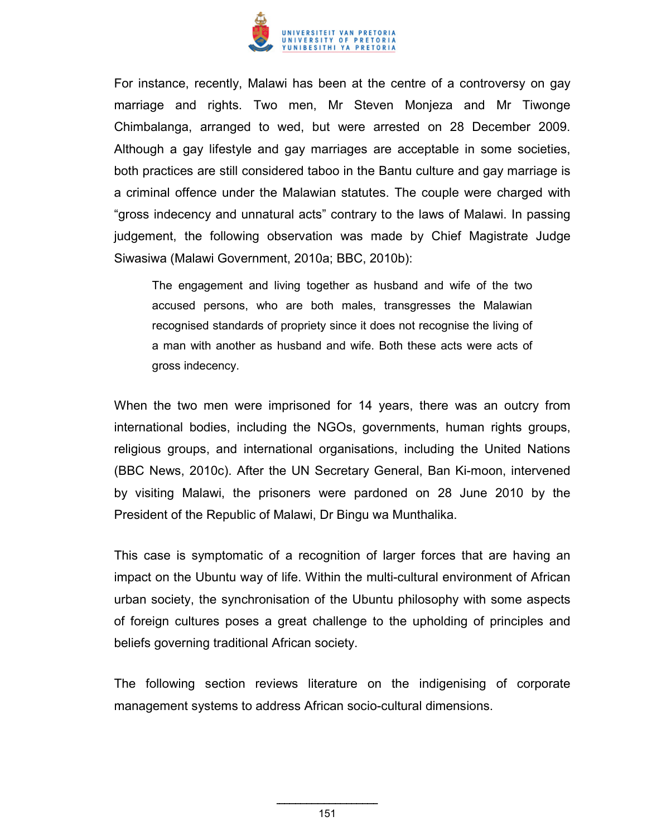

For instance, recently, Malawi has been at the centre of a controversy on gay marriage and rights. Two men, Mr Steven Monjeza and Mr Tiwonge Chimbalanga, arranged to wed, but were arrested on 28 December 2009. Although a gay lifestyle and gay marriages are acceptable in some societies, both practices are still considered taboo in the Bantu culture and gay marriage is a criminal offence under the Malawian statutes. The couple were charged with "gross indecency and unnatural acts" contrary to the laws of Malawi. In passing judgement, the following observation was made by Chief Magistrate Judge Siwasiwa (Malawi Government, 2010a; BBC, 2010b):

The engagement and living together as husband and wife of the two accused persons, who are both males, transgresses the Malawian recognised standards of propriety since it does not recognise the living of a man with another as husband and wife. Both these acts were acts of gross indecency.

When the two men were imprisoned for 14 years, there was an outcry from international bodies, including the NGOs, governments, human rights groups, religious groups, and international organisations, including the United Nations (BBC News, 2010c). After the UN Secretary General, Ban Ki-moon, intervened by visiting Malawi, the prisoners were pardoned on 28 June 2010 by the President of the Republic of Malawi, Dr Bingu wa Munthalika.

This case is symptomatic of a recognition of larger forces that are having an impact on the Ubuntu way of life. Within the multi-cultural environment of African urban society, the synchronisation of the Ubuntu philosophy with some aspects of foreign cultures poses a great challenge to the upholding of principles and beliefs governing traditional African society.

The following section reviews literature on the indigenising of corporate management systems to address African socio-cultural dimensions.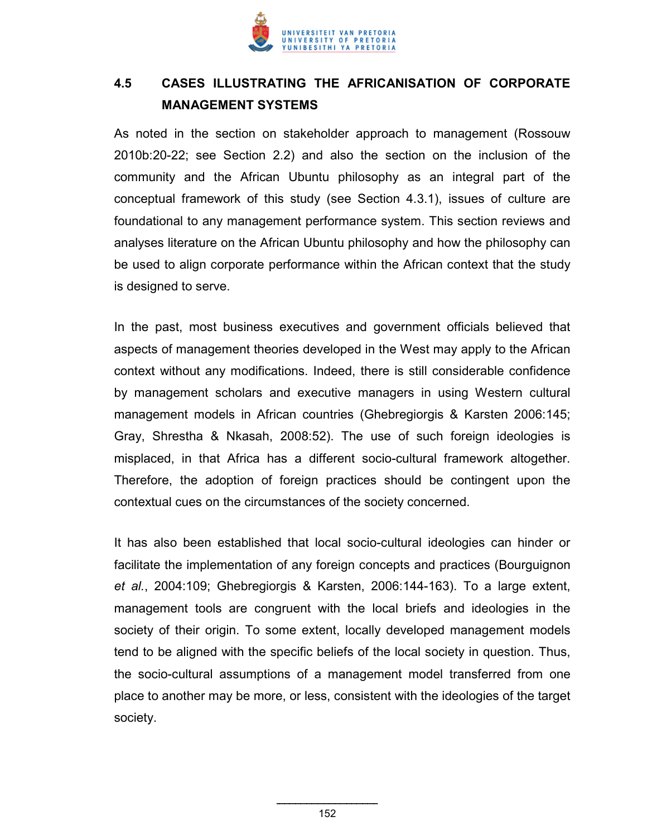

# **4.5 CASES ILLUSTRATING THE AFRICANISATION OF CORPORATE MANAGEMENT SYSTEMS**

As noted in the section on stakeholder approach to management (Rossouw 2010b:20-22; see Section 2.2) and also the section on the inclusion of the community and the African Ubuntu philosophy as an integral part of the conceptual framework of this study (see Section 4.3.1), issues of culture are foundational to any management performance system. This section reviews and analyses literature on the African Ubuntu philosophy and how the philosophy can be used to align corporate performance within the African context that the study is designed to serve.

In the past, most business executives and government officials believed that aspects of management theories developed in the West may apply to the African context without any modifications. Indeed, there is still considerable confidence by management scholars and executive managers in using Western cultural management models in African countries (Ghebregiorgis & Karsten 2006:145; Gray, Shrestha & Nkasah, 2008:52). The use of such foreign ideologies is misplaced, in that Africa has a different socio-cultural framework altogether. Therefore, the adoption of foreign practices should be contingent upon the contextual cues on the circumstances of the society concerned.

It has also been established that local socio-cultural ideologies can hinder or facilitate the implementation of any foreign concepts and practices (Bourguignon *et al.*, 2004:109; Ghebregiorgis & Karsten, 2006:144-163). To a large extent, management tools are congruent with the local briefs and ideologies in the society of their origin. To some extent, locally developed management models tend to be aligned with the specific beliefs of the local society in question. Thus, the socio-cultural assumptions of a management model transferred from one place to another may be more, or less, consistent with the ideologies of the target society.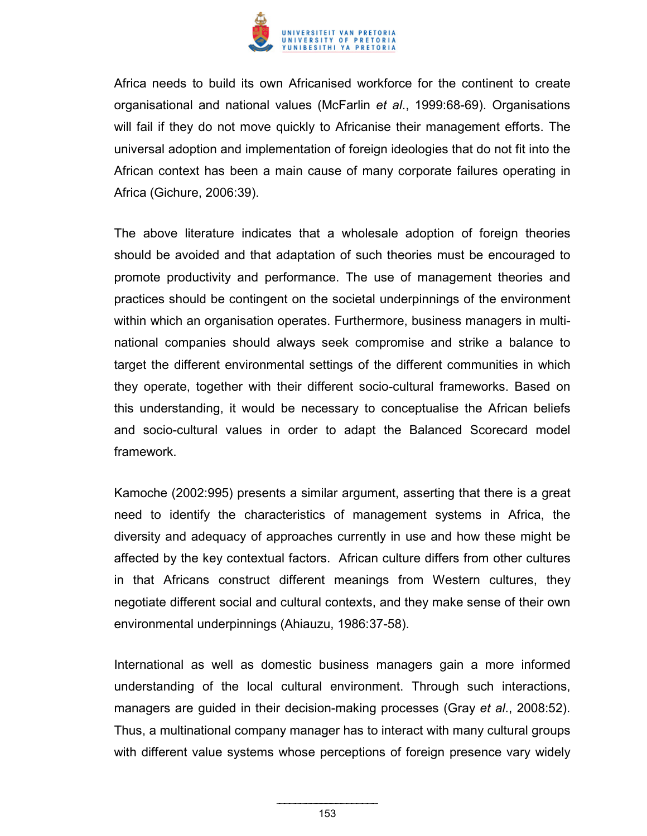

Africa needs to build its own Africanised workforce for the continent to create organisational and national values (McFarlin *et al*., 1999:68-69). Organisations will fail if they do not move quickly to Africanise their management efforts. The universal adoption and implementation of foreign ideologies that do not fit into the African context has been a main cause of many corporate failures operating in Africa (Gichure, 2006:39).

The above literature indicates that a wholesale adoption of foreign theories should be avoided and that adaptation of such theories must be encouraged to promote productivity and performance. The use of management theories and practices should be contingent on the societal underpinnings of the environment within which an organisation operates. Furthermore, business managers in multinational companies should always seek compromise and strike a balance to target the different environmental settings of the different communities in which they operate, together with their different socio-cultural frameworks. Based on this understanding, it would be necessary to conceptualise the African beliefs and socio-cultural values in order to adapt the Balanced Scorecard model framework.

Kamoche (2002:995) presents a similar argument, asserting that there is a great need to identify the characteristics of management systems in Africa, the diversity and adequacy of approaches currently in use and how these might be affected by the key contextual factors. African culture differs from other cultures in that Africans construct different meanings from Western cultures, they negotiate different social and cultural contexts, and they make sense of their own environmental underpinnings (Ahiauzu, 1986:37-58).

International as well as domestic business managers gain a more informed understanding of the local cultural environment. Through such interactions, managers are guided in their decision-making processes (Gray *et al*., 2008:52). Thus, a multinational company manager has to interact with many cultural groups with different value systems whose perceptions of foreign presence vary widely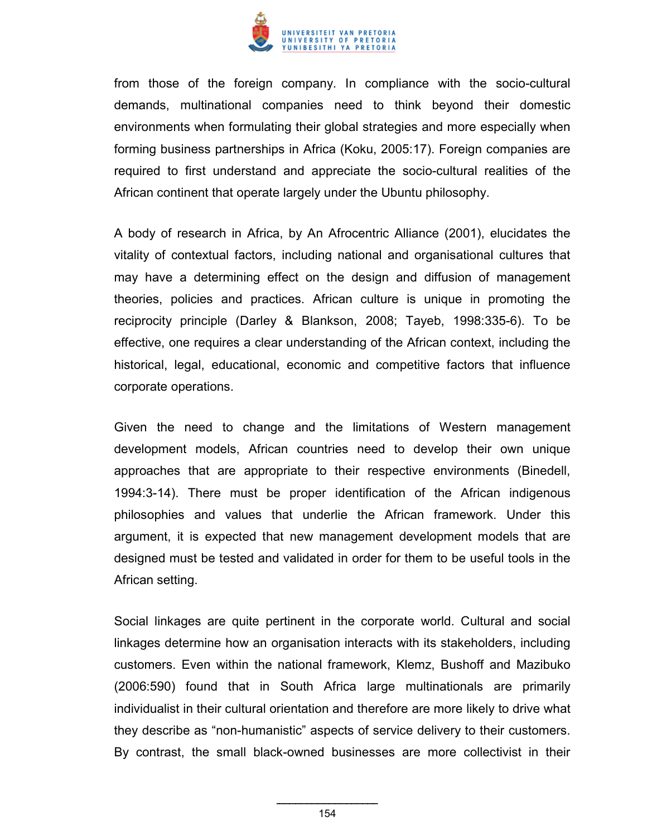

from those of the foreign company. In compliance with the socio-cultural demands, multinational companies need to think beyond their domestic environments when formulating their global strategies and more especially when forming business partnerships in Africa (Koku, 2005:17). Foreign companies are required to first understand and appreciate the socio-cultural realities of the African continent that operate largely under the Ubuntu philosophy.

A body of research in Africa, by An Afrocentric Alliance (2001), elucidates the vitality of contextual factors, including national and organisational cultures that may have a determining effect on the design and diffusion of management theories, policies and practices. African culture is unique in promoting the reciprocity principle (Darley & Blankson, 2008; Tayeb, 1998:335-6). To be effective, one requires a clear understanding of the African context, including the historical, legal, educational, economic and competitive factors that influence corporate operations.

Given the need to change and the limitations of Western management development models, African countries need to develop their own unique approaches that are appropriate to their respective environments (Binedell, 1994:3-14). There must be proper identification of the African indigenous philosophies and values that underlie the African framework. Under this argument, it is expected that new management development models that are designed must be tested and validated in order for them to be useful tools in the African setting.

Social linkages are quite pertinent in the corporate world. Cultural and social linkages determine how an organisation interacts with its stakeholders, including customers. Even within the national framework, Klemz, Bushoff and Mazibuko (2006:590) found that in South Africa large multinationals are primarily individualist in their cultural orientation and therefore are more likely to drive what they describe as "non-humanistic" aspects of service delivery to their customers. By contrast, the small black-owned businesses are more collectivist in their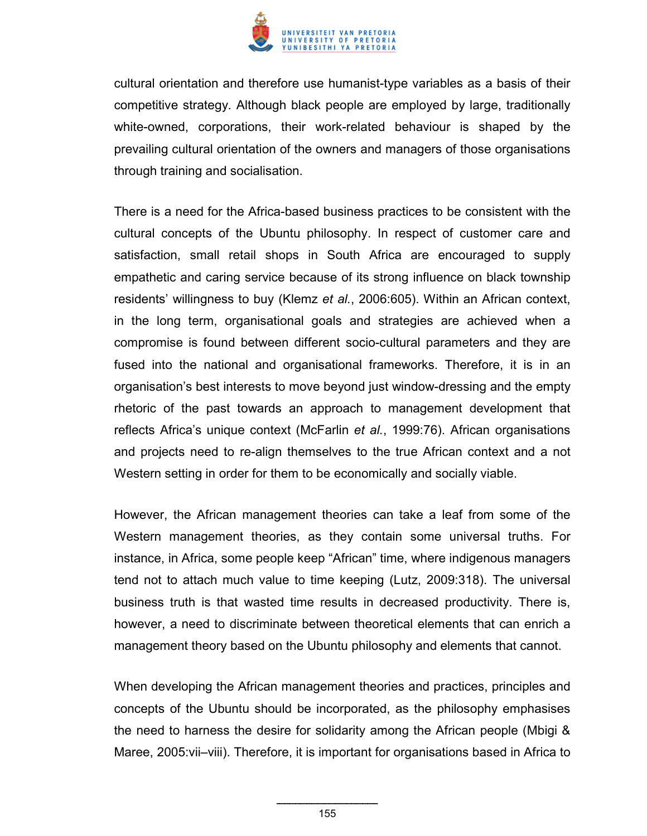

cultural orientation and therefore use humanist-type variables as a basis of their competitive strategy. Although black people are employed by large, traditionally white-owned, corporations, their work-related behaviour is shaped by the prevailing cultural orientation of the owners and managers of those organisations through training and socialisation.

There is a need for the Africa-based business practices to be consistent with the cultural concepts of the Ubuntu philosophy. In respect of customer care and satisfaction, small retail shops in South Africa are encouraged to supply empathetic and caring service because of its strong influence on black township residents' willingness to buy (Klemz *et al.*, 2006:605). Within an African context, in the long term, organisational goals and strategies are achieved when a compromise is found between different socio-cultural parameters and they are fused into the national and organisational frameworks. Therefore, it is in an organisation's best interests to move beyond just window-dressing and the empty rhetoric of the past towards an approach to management development that reflects Africa's unique context (McFarlin *et al.*, 1999:76). African organisations and projects need to re-align themselves to the true African context and a not Western setting in order for them to be economically and socially viable.

However, the African management theories can take a leaf from some of the Western management theories, as they contain some universal truths. For instance, in Africa, some people keep "African" time, where indigenous managers tend not to attach much value to time keeping (Lutz, 2009:318). The universal business truth is that wasted time results in decreased productivity. There is, however, a need to discriminate between theoretical elements that can enrich a management theory based on the Ubuntu philosophy and elements that cannot.

When developing the African management theories and practices, principles and concepts of the Ubuntu should be incorporated, as the philosophy emphasises the need to harness the desire for solidarity among the African people (Mbigi & Maree, 2005:vii–viii). Therefore, it is important for organisations based in Africa to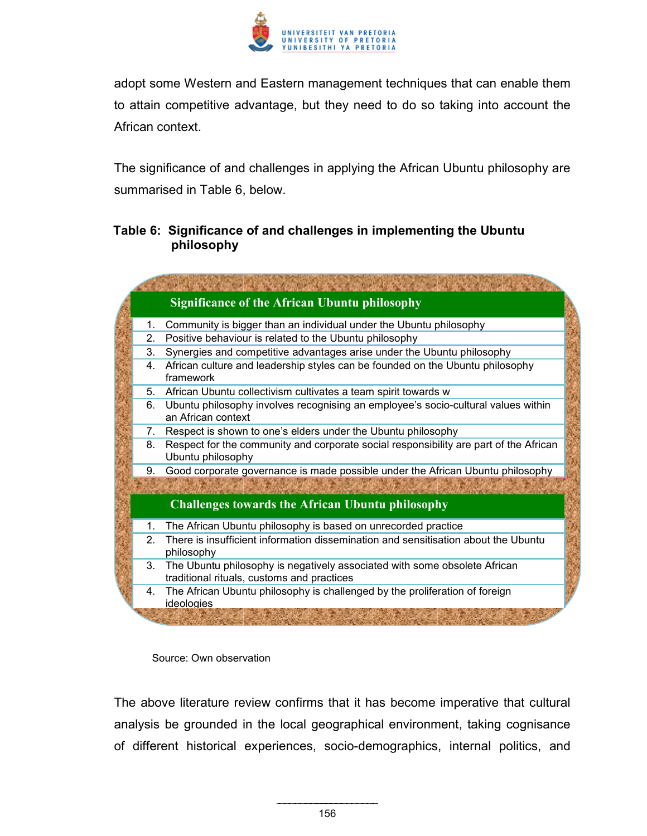

adopt some Western and Eastern management techniques that can enable them to attain competitive advantage, but they need to do so taking into account the African context.

The significance of and challenges in applying the African Ubuntu philosophy are summarised in Table 6, below.

### **Table 6: Significance of and challenges in implementing the Ubuntu philosophy**

|         | <b>Significance of the African Ubuntu philosophy</b>                                                                    |
|---------|-------------------------------------------------------------------------------------------------------------------------|
| 1.      | Community is bigger than an individual under the Ubuntu philosophy                                                      |
| 2.      | Positive behaviour is related to the Ubuntu philosophy                                                                  |
| 3.      | Synergies and competitive advantages arise under the Ubuntu philosophy                                                  |
| 4.      | African culture and leadership styles can be founded on the Ubuntu philosophy<br>framework                              |
| 5.      | African Ubuntu collectivism cultivates a team spirit towards w                                                          |
| 6.      | Ubuntu philosophy involves recognising an employee's socio-cultural values within<br>an African context                 |
| 7.      | Respect is shown to one's elders under the Ubuntu philosophy                                                            |
| 8.      | Respect for the community and corporate social responsibility are part of the African<br>Ubuntu philosophy              |
| 9.      | Good corporate governance is made possible under the African Ubuntu philosophy                                          |
|         |                                                                                                                         |
|         | <b>Challenges towards the African Ubuntu philosophy</b>                                                                 |
| 1.      | The African Ubuntu philosophy is based on unrecorded practice                                                           |
| $2_{-}$ | There is insufficient information dissemination and sensitisation about the Ubuntu<br>philosophy                        |
| 3.      | The Ubuntu philosophy is negatively associated with some obsolete African<br>traditional rituals, customs and practices |
| 4.      | The African Ubuntu philosophy is challenged by the proliferation of foreign<br>ideologies                               |
|         |                                                                                                                         |

Source: Own observation

The above literature review confirms that it has become imperative that cultural analysis be grounded in the local geographical environment, taking cognisance of different historical experiences, socio-demographics, internal politics, and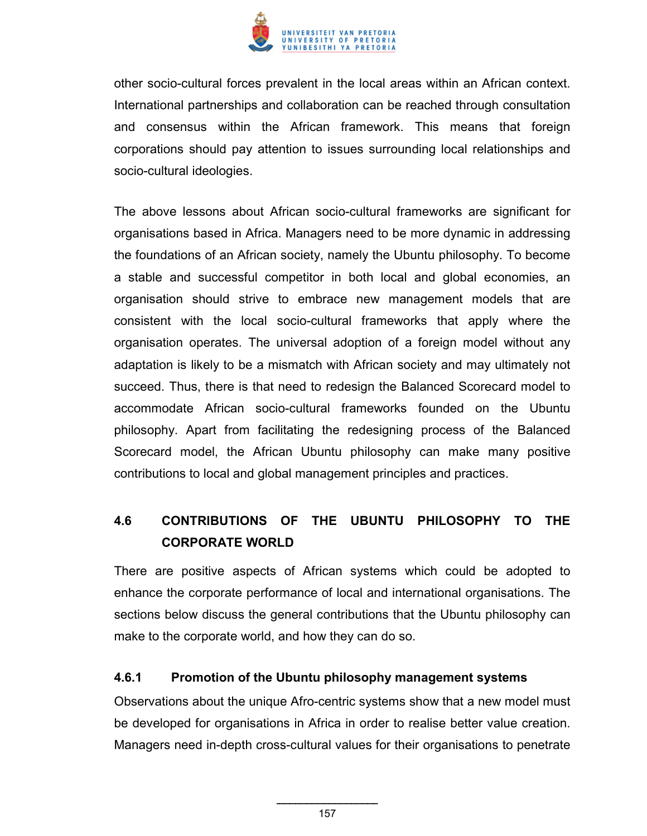

other socio-cultural forces prevalent in the local areas within an African context. International partnerships and collaboration can be reached through consultation and consensus within the African framework. This means that foreign corporations should pay attention to issues surrounding local relationships and socio-cultural ideologies.

The above lessons about African socio-cultural frameworks are significant for organisations based in Africa. Managers need to be more dynamic in addressing the foundations of an African society, namely the Ubuntu philosophy. To become a stable and successful competitor in both local and global economies, an organisation should strive to embrace new management models that are consistent with the local socio-cultural frameworks that apply where the organisation operates. The universal adoption of a foreign model without any adaptation is likely to be a mismatch with African society and may ultimately not succeed. Thus, there is that need to redesign the Balanced Scorecard model to accommodate African socio-cultural frameworks founded on the Ubuntu philosophy. Apart from facilitating the redesigning process of the Balanced Scorecard model, the African Ubuntu philosophy can make many positive contributions to local and global management principles and practices.

# **4.6 CONTRIBUTIONS OF THE UBUNTU PHILOSOPHY TO THE CORPORATE WORLD**

There are positive aspects of African systems which could be adopted to enhance the corporate performance of local and international organisations. The sections below discuss the general contributions that the Ubuntu philosophy can make to the corporate world, and how they can do so.

#### **4.6.1 Promotion of the Ubuntu philosophy management systems**

Observations about the unique Afro-centric systems show that a new model must be developed for organisations in Africa in order to realise better value creation. Managers need in-depth cross-cultural values for their organisations to penetrate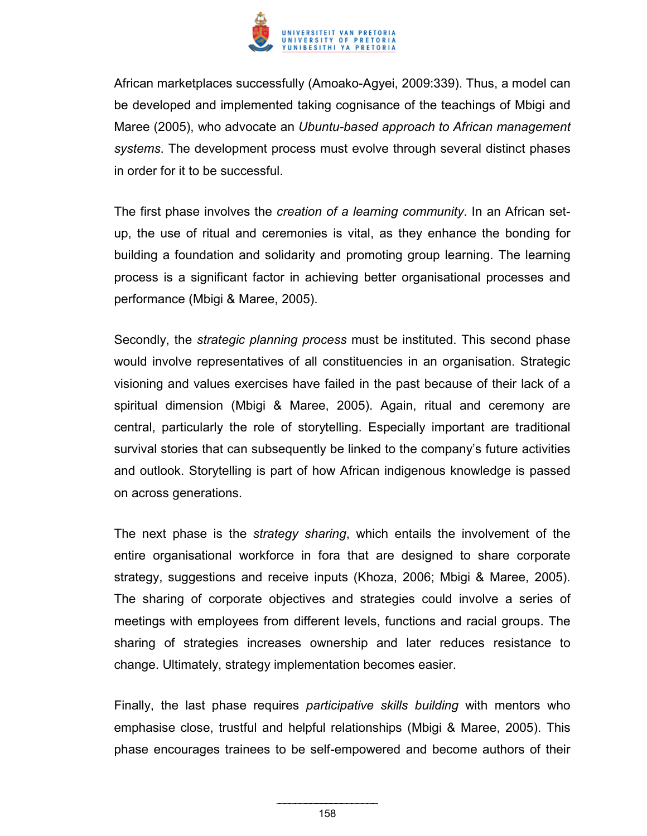

African marketplaces successfully (Amoako-Agyei, 2009:339). Thus, a model can be developed and implemented taking cognisance of the teachings of Mbigi and Maree (2005), who advocate an *Ubuntu-based approach to African management systems*. The development process must evolve through several distinct phases in order for it to be successful.

The first phase involves the *creation of a learning community*. In an African setup, the use of ritual and ceremonies is vital, as they enhance the bonding for building a foundation and solidarity and promoting group learning. The learning process is a significant factor in achieving better organisational processes and performance (Mbigi & Maree, 2005).

Secondly, the *strategic planning process* must be instituted. This second phase would involve representatives of all constituencies in an organisation. Strategic visioning and values exercises have failed in the past because of their lack of a spiritual dimension (Mbigi & Maree, 2005). Again, ritual and ceremony are central, particularly the role of storytelling. Especially important are traditional survival stories that can subsequently be linked to the company's future activities and outlook. Storytelling is part of how African indigenous knowledge is passed on across generations.

The next phase is the *strategy sharing*, which entails the involvement of the entire organisational workforce in fora that are designed to share corporate strategy, suggestions and receive inputs (Khoza, 2006; Mbigi & Maree, 2005). The sharing of corporate objectives and strategies could involve a series of meetings with employees from different levels, functions and racial groups. The sharing of strategies increases ownership and later reduces resistance to change. Ultimately, strategy implementation becomes easier.

Finally, the last phase requires *participative skills building* with mentors who emphasise close, trustful and helpful relationships (Mbigi & Maree, 2005). This phase encourages trainees to be self-empowered and become authors of their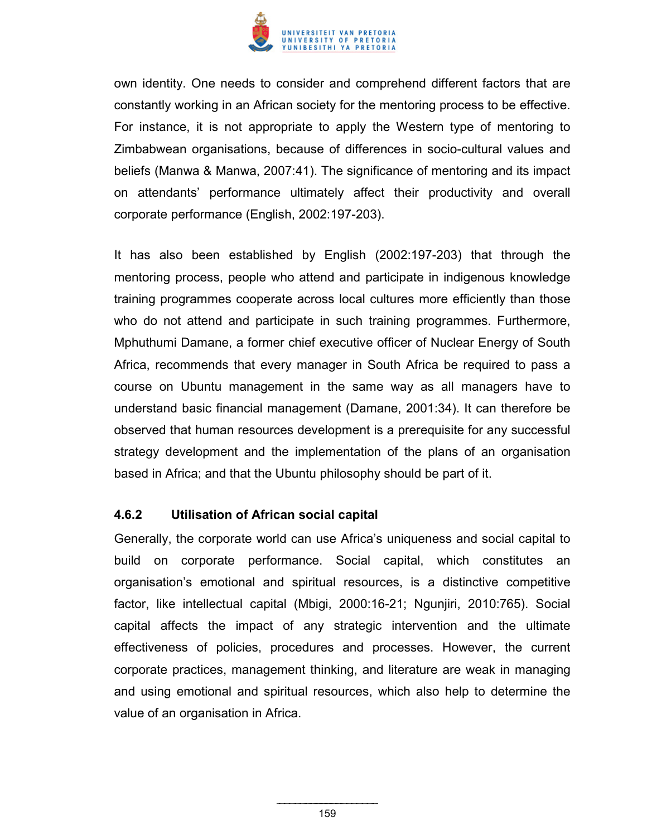

own identity. One needs to consider and comprehend different factors that are constantly working in an African society for the mentoring process to be effective. For instance, it is not appropriate to apply the Western type of mentoring to Zimbabwean organisations, because of differences in socio-cultural values and beliefs (Manwa & Manwa, 2007:41). The significance of mentoring and its impact on attendants' performance ultimately affect their productivity and overall corporate performance (English, 2002:197-203).

It has also been established by English (2002:197-203) that through the mentoring process, people who attend and participate in indigenous knowledge training programmes cooperate across local cultures more efficiently than those who do not attend and participate in such training programmes. Furthermore, Mphuthumi Damane, a former chief executive officer of Nuclear Energy of South Africa, recommends that every manager in South Africa be required to pass a course on Ubuntu management in the same way as all managers have to understand basic financial management (Damane, 2001:34). It can therefore be observed that human resources development is a prerequisite for any successful strategy development and the implementation of the plans of an organisation based in Africa; and that the Ubuntu philosophy should be part of it.

#### **4.6.2 Utilisation of African social capital**

Generally, the corporate world can use Africa's uniqueness and social capital to build on corporate performance. Social capital, which constitutes an organisation's emotional and spiritual resources, is a distinctive competitive factor, like intellectual capital (Mbigi, 2000:16-21; Ngunjiri, 2010:765). Social capital affects the impact of any strategic intervention and the ultimate effectiveness of policies, procedures and processes. However, the current corporate practices, management thinking, and literature are weak in managing and using emotional and spiritual resources, which also help to determine the value of an organisation in Africa.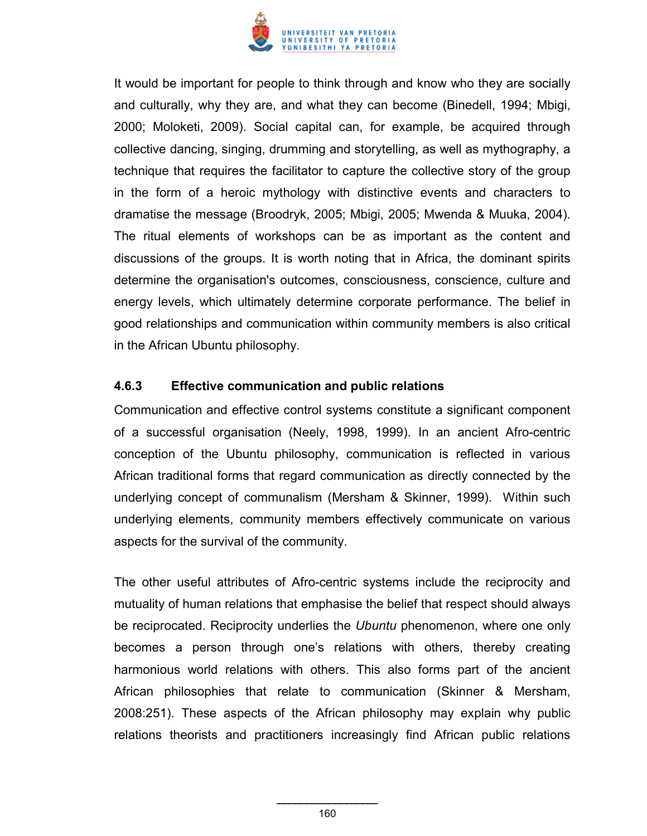

It would be important for people to think through and know who they are socially and culturally, why they are, and what they can become (Binedell, 1994; Mbigi, 2000; Moloketi, 2009). Social capital can, for example, be acquired through collective dancing, singing, drumming and storytelling, as well as mythography, a technique that requires the facilitator to capture the collective story of the group in the form of a heroic mythology with distinctive events and characters to dramatise the message (Broodryk, 2005; Mbigi, 2005; Mwenda & Muuka, 2004). The ritual elements of workshops can be as important as the content and discussions of the groups. It is worth noting that in Africa, the dominant spirits determine the organisation's outcomes, consciousness, conscience, culture and energy levels, which ultimately determine corporate performance. The belief in good relationships and communication within community members is also critical in the African Ubuntu philosophy.

#### **4.6.3 Effective communication and public relations**

Communication and effective control systems constitute a significant component of a successful organisation (Neely, 1998, 1999). In an ancient Afro-centric conception of the Ubuntu philosophy, communication is reflected in various African traditional forms that regard communication as directly connected by the underlying concept of communalism (Mersham & Skinner, 1999). Within such underlying elements, community members effectively communicate on various aspects for the survival of the community.

The other useful attributes of Afro-centric systems include the reciprocity and mutuality of human relations that emphasise the belief that respect should always be reciprocated. Reciprocity underlies the *Ubuntu* phenomenon, where one only becomes a person through one's relations with others, thereby creating harmonious world relations with others. This also forms part of the ancient African philosophies that relate to communication (Skinner & Mersham, 2008:251). These aspects of the African philosophy may explain why public relations theorists and practitioners increasingly find African public relations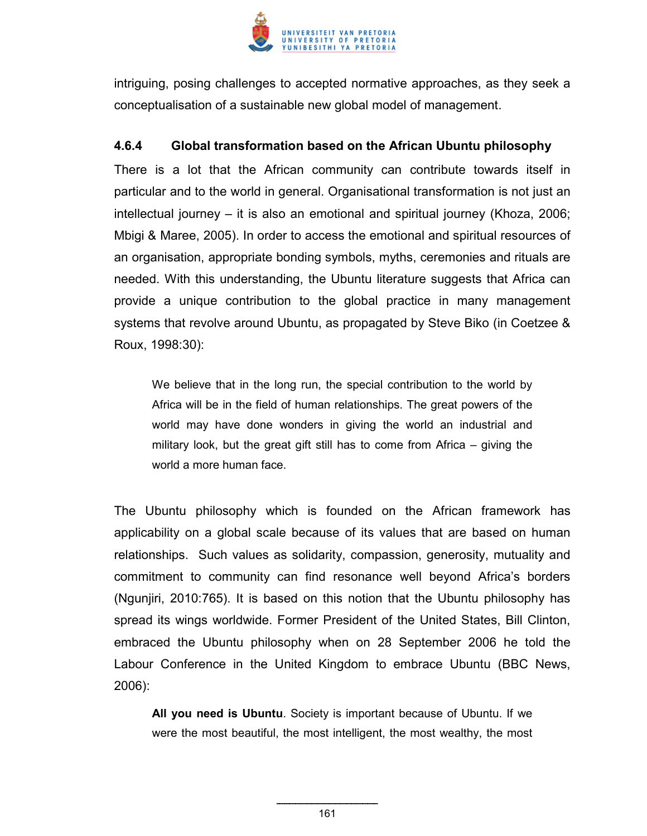

intriguing, posing challenges to accepted normative approaches, as they seek a conceptualisation of a sustainable new global model of management.

### **4.6.4 Global transformation based on the African Ubuntu philosophy**

There is a lot that the African community can contribute towards itself in particular and to the world in general. Organisational transformation is not just an intellectual journey – it is also an emotional and spiritual journey (Khoza, 2006; Mbigi & Maree, 2005). In order to access the emotional and spiritual resources of an organisation, appropriate bonding symbols, myths, ceremonies and rituals are needed. With this understanding, the Ubuntu literature suggests that Africa can provide a unique contribution to the global practice in many management systems that revolve around Ubuntu, as propagated by Steve Biko (in Coetzee & Roux, 1998:30):

We believe that in the long run, the special contribution to the world by Africa will be in the field of human relationships. The great powers of the world may have done wonders in giving the world an industrial and military look, but the great gift still has to come from Africa – giving the world a more human face.

The Ubuntu philosophy which is founded on the African framework has applicability on a global scale because of its values that are based on human relationships. Such values as solidarity, compassion, generosity, mutuality and commitment to community can find resonance well beyond Africa's borders (Ngunjiri, 2010:765). It is based on this notion that the Ubuntu philosophy has spread its wings worldwide. Former President of the United States, Bill Clinton, embraced the Ubuntu philosophy when on 28 September 2006 he told the Labour Conference in the United Kingdom to embrace Ubuntu (BBC News, 2006):

**All you need is Ubuntu**. Society is important because of Ubuntu. If we were the most beautiful, the most intelligent, the most wealthy, the most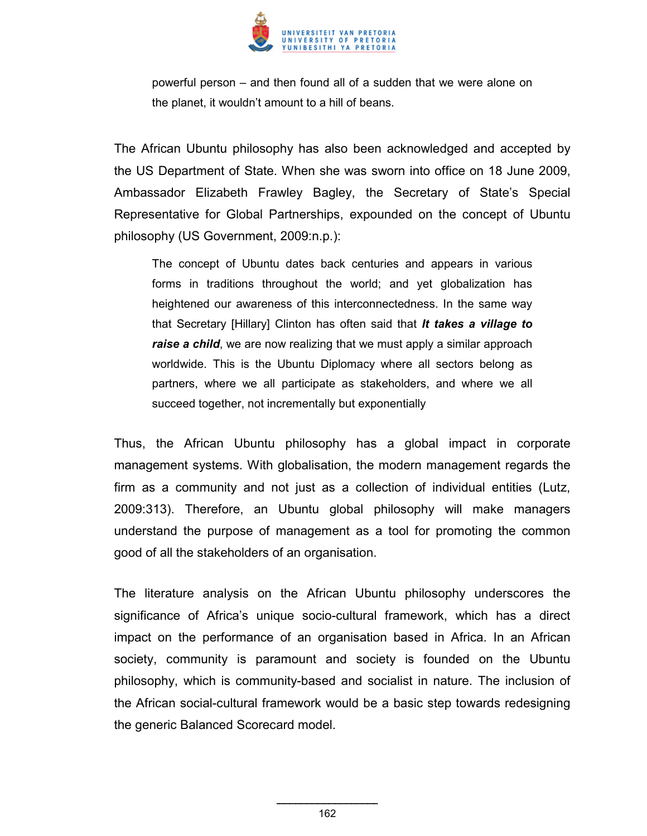

powerful person – and then found all of a sudden that we were alone on the planet, it wouldn't amount to a hill of beans.

The African Ubuntu philosophy has also been acknowledged and accepted by the US Department of State. When she was sworn into office on 18 June 2009, Ambassador Elizabeth Frawley Bagley, the Secretary of State's Special Representative for Global Partnerships, expounded on the concept of Ubuntu philosophy (US Government, 2009:n.p.):

The concept of Ubuntu dates back centuries and appears in various forms in traditions throughout the world; and yet globalization has heightened our awareness of this interconnectedness. In the same way that Secretary [Hillary] Clinton has often said that *It takes a village to raise a child*, we are now realizing that we must apply a similar approach worldwide. This is the Ubuntu Diplomacy where all sectors belong as partners, where we all participate as stakeholders, and where we all succeed together, not incrementally but exponentially

Thus, the African Ubuntu philosophy has a global impact in corporate management systems. With globalisation, the modern management regards the firm as a community and not just as a collection of individual entities (Lutz, 2009:313). Therefore, an Ubuntu global philosophy will make managers understand the purpose of management as a tool for promoting the common good of all the stakeholders of an organisation.

The literature analysis on the African Ubuntu philosophy underscores the significance of Africa's unique socio-cultural framework, which has a direct impact on the performance of an organisation based in Africa. In an African society, community is paramount and society is founded on the Ubuntu philosophy, which is community-based and socialist in nature. The inclusion of the African social-cultural framework would be a basic step towards redesigning the generic Balanced Scorecard model.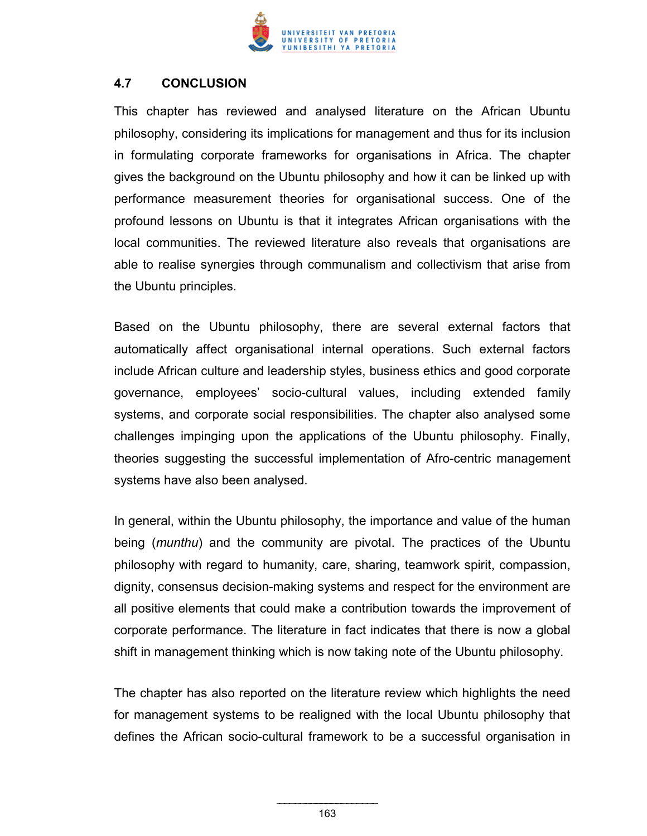

### **4.7 CONCLUSION**

This chapter has reviewed and analysed literature on the African Ubuntu philosophy, considering its implications for management and thus for its inclusion in formulating corporate frameworks for organisations in Africa. The chapter gives the background on the Ubuntu philosophy and how it can be linked up with performance measurement theories for organisational success. One of the profound lessons on Ubuntu is that it integrates African organisations with the local communities. The reviewed literature also reveals that organisations are able to realise synergies through communalism and collectivism that arise from the Ubuntu principles.

Based on the Ubuntu philosophy, there are several external factors that automatically affect organisational internal operations. Such external factors include African culture and leadership styles, business ethics and good corporate governance, employees' socio-cultural values, including extended family systems, and corporate social responsibilities. The chapter also analysed some challenges impinging upon the applications of the Ubuntu philosophy. Finally, theories suggesting the successful implementation of Afro-centric management systems have also been analysed.

In general, within the Ubuntu philosophy, the importance and value of the human being (*munthu*) and the community are pivotal. The practices of the Ubuntu philosophy with regard to humanity, care, sharing, teamwork spirit, compassion, dignity, consensus decision-making systems and respect for the environment are all positive elements that could make a contribution towards the improvement of corporate performance. The literature in fact indicates that there is now a global shift in management thinking which is now taking note of the Ubuntu philosophy.

The chapter has also reported on the literature review which highlights the need for management systems to be realigned with the local Ubuntu philosophy that defines the African socio-cultural framework to be a successful organisation in